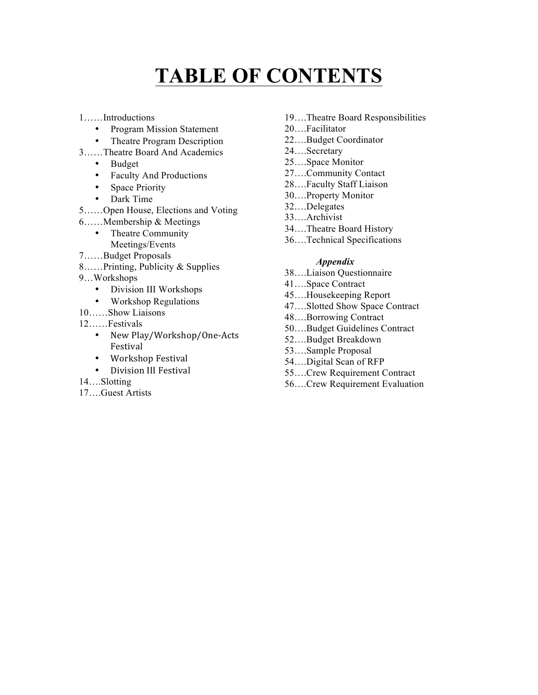# **TABLE OF CONTENTS**

1……Introductions

- Program Mission Statement
- Theatre Program Description
- 3……Theatre Board And Academics
	- Budget
	- Faculty And Productions
	- Space Priority
	- Dark Time
- 5……Open House, Elections and Voting
- 6……Membership & Meetings
	- Theatre Community Meetings/Events
- 7……Budget Proposals
- 8……Printing, Publicity & Supplies
- 9…Workshops
	- Division III Workshops
	- Workshop Regulations
- 10……Show Liaisons
- 12……Festivals
	- New Play/Workshop/One-Acts Festival
	- Workshop Festival
	- Division III Festival
- 14….Slotting
- 17….Guest Artists
- 19….Theatre Board Responsibilities
- 20….Facilitator
- 22….Budget Coordinator
- 24….Secretary
- 25….Space Monitor
- 27….Community Contact
- 28….Faculty Staff Liaison
- 30….Property Monitor
- 32….Delegates
- 33….Archivist
- 34….Theatre Board History
- 36….Technical Specifications

#### *Appendix*

- 38….Liaison Questionnaire
- 41….Space Contract
- 45….Housekeeping Report
- 47….Slotted Show Space Contract
- 48….Borrowing Contract
- 50….Budget Guidelines Contract
- 52….Budget Breakdown
- 53….Sample Proposal
- 54….Digital Scan of RFP
- 55….Crew Requirement Contract
- 56….Crew Requirement Evaluation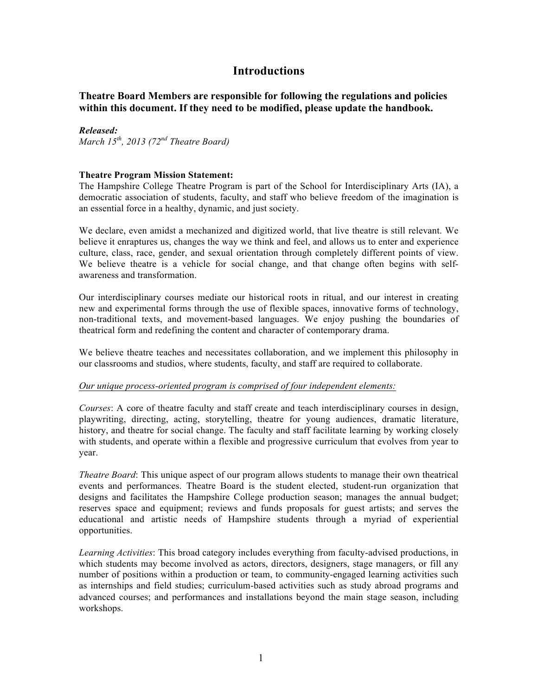### **Introductions**

**Theatre Board Members are responsible for following the regulations and policies within this document. If they need to be modified, please update the handbook.** 

#### *Released:*

*March 15th, 2013 (72nd Theatre Board)*

#### **Theatre Program Mission Statement:**

The Hampshire College Theatre Program is part of the School for Interdisciplinary Arts (IA), a democratic association of students, faculty, and staff who believe freedom of the imagination is an essential force in a healthy, dynamic, and just society.

We declare, even amidst a mechanized and digitized world, that live theatre is still relevant. We believe it enraptures us, changes the way we think and feel, and allows us to enter and experience culture, class, race, gender, and sexual orientation through completely different points of view. We believe theatre is a vehicle for social change, and that change often begins with selfawareness and transformation.

Our interdisciplinary courses mediate our historical roots in ritual, and our interest in creating new and experimental forms through the use of flexible spaces, innovative forms of technology, non-traditional texts, and movement-based languages. We enjoy pushing the boundaries of theatrical form and redefining the content and character of contemporary drama.

We believe theatre teaches and necessitates collaboration, and we implement this philosophy in our classrooms and studios, where students, faculty, and staff are required to collaborate.

#### *Our unique process-oriented program is comprised of four independent elements:*

*Courses*: A core of theatre faculty and staff create and teach interdisciplinary courses in design, playwriting, directing, acting, storytelling, theatre for young audiences, dramatic literature, history, and theatre for social change. The faculty and staff facilitate learning by working closely with students, and operate within a flexible and progressive curriculum that evolves from year to year.

*Theatre Board*: This unique aspect of our program allows students to manage their own theatrical events and performances. Theatre Board is the student elected, student-run organization that designs and facilitates the Hampshire College production season; manages the annual budget; reserves space and equipment; reviews and funds proposals for guest artists; and serves the educational and artistic needs of Hampshire students through a myriad of experiential opportunities.

*Learning Activities*: This broad category includes everything from faculty-advised productions, in which students may become involved as actors, directors, designers, stage managers, or fill any number of positions within a production or team, to community-engaged learning activities such as internships and field studies; curriculum-based activities such as study abroad programs and advanced courses; and performances and installations beyond the main stage season, including workshops.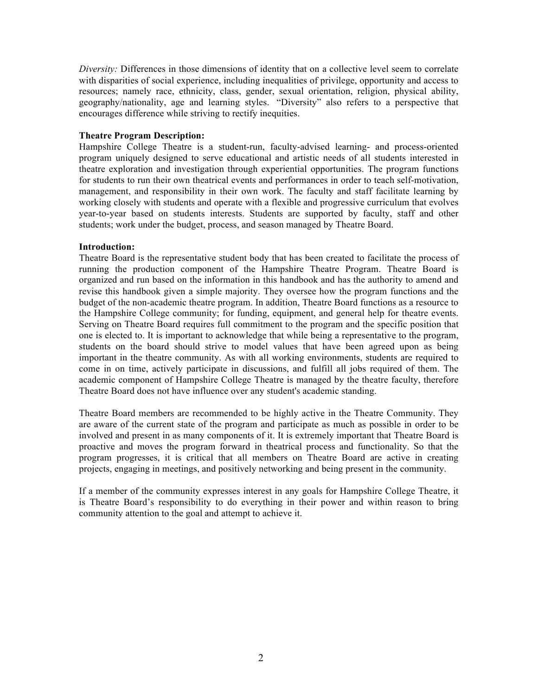*Diversity:* Differences in those dimensions of identity that on a collective level seem to correlate with disparities of social experience, including inequalities of privilege, opportunity and access to resources; namely race, ethnicity, class, gender, sexual orientation, religion, physical ability, geography/nationality, age and learning styles. "Diversity" also refers to a perspective that encourages difference while striving to rectify inequities.

#### **Theatre Program Description:**

Hampshire College Theatre is a student-run, faculty-advised learning- and process-oriented program uniquely designed to serve educational and artistic needs of all students interested in theatre exploration and investigation through experiential opportunities. The program functions for students to run their own theatrical events and performances in order to teach self-motivation, management, and responsibility in their own work. The faculty and staff facilitate learning by working closely with students and operate with a flexible and progressive curriculum that evolves year-to-year based on students interests. Students are supported by faculty, staff and other students; work under the budget, process, and season managed by Theatre Board.

#### **Introduction:**

Theatre Board is the representative student body that has been created to facilitate the process of running the production component of the Hampshire Theatre Program. Theatre Board is organized and run based on the information in this handbook and has the authority to amend and revise this handbook given a simple majority. They oversee how the program functions and the budget of the non-academic theatre program. In addition, Theatre Board functions as a resource to the Hampshire College community; for funding, equipment, and general help for theatre events. Serving on Theatre Board requires full commitment to the program and the specific position that one is elected to. It is important to acknowledge that while being a representative to the program, students on the board should strive to model values that have been agreed upon as being important in the theatre community. As with all working environments, students are required to come in on time, actively participate in discussions, and fulfill all jobs required of them. The academic component of Hampshire College Theatre is managed by the theatre faculty, therefore Theatre Board does not have influence over any student's academic standing.

Theatre Board members are recommended to be highly active in the Theatre Community. They are aware of the current state of the program and participate as much as possible in order to be involved and present in as many components of it. It is extremely important that Theatre Board is proactive and moves the program forward in theatrical process and functionality. So that the program progresses, it is critical that all members on Theatre Board are active in creating projects, engaging in meetings, and positively networking and being present in the community.

If a member of the community expresses interest in any goals for Hampshire College Theatre, it is Theatre Board's responsibility to do everything in their power and within reason to bring community attention to the goal and attempt to achieve it.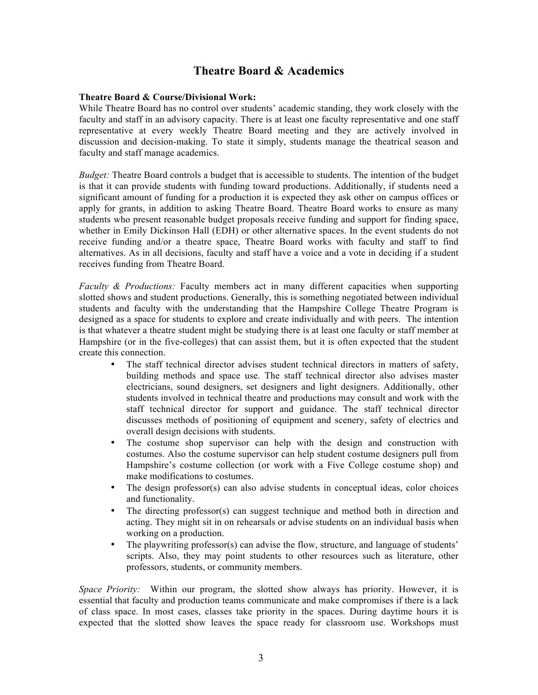### **Theatre Board & Academics**

#### **Theatre Board & Course/Divisional Work:**

While Theatre Board has no control over students' academic standing, they work closely with the faculty and staff in an advisory capacity. There is at least one faculty representative and one staff representative at every weekly Theatre Board meeting and they are actively involved in discussion and decision-making. To state it simply, students manage the theatrical season and faculty and staff manage academics.

*Budget:* Theatre Board controls a budget that is accessible to students. The intention of the budget is that it can provide students with funding toward productions. Additionally, if students need a significant amount of funding for a production it is expected they ask other on campus offices or apply for grants, in addition to asking Theatre Board. Theatre Board works to ensure as many students who present reasonable budget proposals receive funding and support for finding space, whether in Emily Dickinson Hall (EDH) or other alternative spaces. In the event students do not receive funding and/or a theatre space, Theatre Board works with faculty and staff to find alternatives. As in all decisions, faculty and staff have a voice and a vote in deciding if a student receives funding from Theatre Board.

*Faculty & Productions:* Faculty members act in many different capacities when supporting slotted shows and student productions. Generally, this is something negotiated between individual students and faculty with the understanding that the Hampshire College Theatre Program is designed as a space for students to explore and create individually and with peers. The intention is that whatever a theatre student might be studying there is at least one faculty or staff member at Hampshire (or in the five-colleges) that can assist them, but it is often expected that the student create this connection.

- The staff technical director advises student technical directors in matters of safety, building methods and space use. The staff technical director also advises master electricians, sound designers, set designers and light designers. Additionally, other students involved in technical theatre and productions may consult and work with the staff technical director for support and guidance. The staff technical director discusses methods of positioning of equipment and scenery, safety of electrics and overall design decisions with students.
- The costume shop supervisor can help with the design and construction with costumes. Also the costume supervisor can help student costume designers pull from Hampshire's costume collection (or work with a Five College costume shop) and make modifications to costumes.
- The design professor(s) can also advise students in conceptual ideas, color choices and functionality.
- The directing professor(s) can suggest technique and method both in direction and acting. They might sit in on rehearsals or advise students on an individual basis when working on a production.
- The playwriting professor(s) can advise the flow, structure, and language of students' scripts. Also, they may point students to other resources such as literature, other professors, students, or community members.

*Space Priority:* Within our program, the slotted show always has priority. However, it is essential that faculty and production teams communicate and make compromises if there is a lack of class space. In most cases, classes take priority in the spaces. During daytime hours it is expected that the slotted show leaves the space ready for classroom use. Workshops must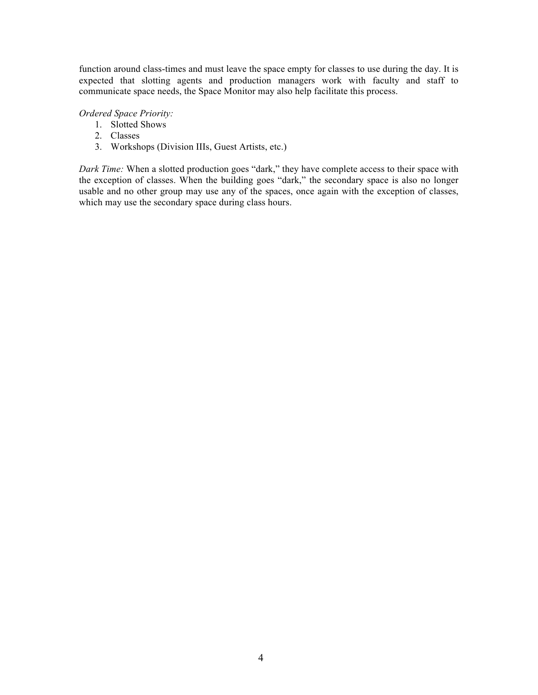function around class-times and must leave the space empty for classes to use during the day. It is expected that slotting agents and production managers work with faculty and staff to communicate space needs, the Space Monitor may also help facilitate this process.

### *Ordered Space Priority:*

- 1. Slotted Shows
- 2. Classes
- 3. Workshops (Division IIIs, Guest Artists, etc.)

*Dark Time:* When a slotted production goes "dark," they have complete access to their space with the exception of classes. When the building goes "dark," the secondary space is also no longer usable and no other group may use any of the spaces, once again with the exception of classes, which may use the secondary space during class hours.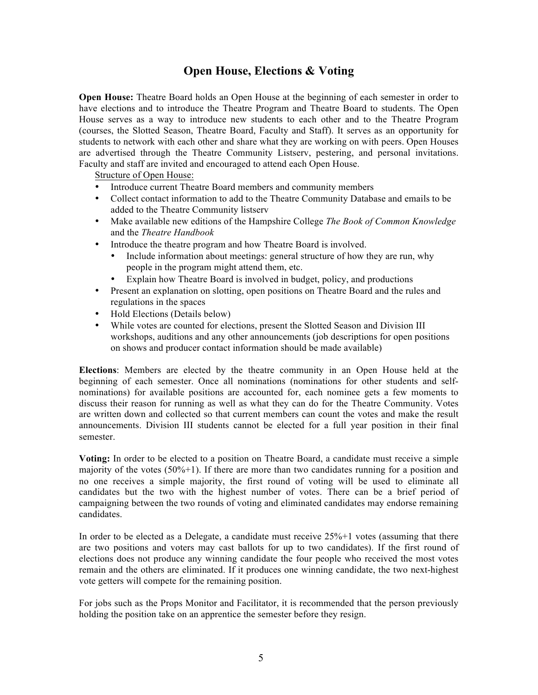### **Open House, Elections & Voting**

**Open House:** Theatre Board holds an Open House at the beginning of each semester in order to have elections and to introduce the Theatre Program and Theatre Board to students. The Open House serves as a way to introduce new students to each other and to the Theatre Program (courses, the Slotted Season, Theatre Board, Faculty and Staff). It serves as an opportunity for students to network with each other and share what they are working on with peers. Open Houses are advertised through the Theatre Community Listserv, pestering, and personal invitations. Faculty and staff are invited and encouraged to attend each Open House.

Structure of Open House:

- Introduce current Theatre Board members and community members
- Collect contact information to add to the Theatre Community Database and emails to be added to the Theatre Community listserv
- Make available new editions of the Hampshire College *The Book of Common Knowledge* and the *Theatre Handbook*
- Introduce the theatre program and how Theatre Board is involved.
	- Include information about meetings: general structure of how they are run, why people in the program might attend them, etc.
	- Explain how Theatre Board is involved in budget, policy, and productions
- Present an explanation on slotting, open positions on Theatre Board and the rules and regulations in the spaces
- Hold Elections (Details below)
- While votes are counted for elections, present the Slotted Season and Division III workshops, auditions and any other announcements (job descriptions for open positions on shows and producer contact information should be made available)

**Elections**: Members are elected by the theatre community in an Open House held at the beginning of each semester. Once all nominations (nominations for other students and selfnominations) for available positions are accounted for, each nominee gets a few moments to discuss their reason for running as well as what they can do for the Theatre Community. Votes are written down and collected so that current members can count the votes and make the result announcements. Division III students cannot be elected for a full year position in their final semester.

**Voting:** In order to be elected to a position on Theatre Board, a candidate must receive a simple majority of the votes  $(50\% + 1)$ . If there are more than two candidates running for a position and no one receives a simple majority, the first round of voting will be used to eliminate all candidates but the two with the highest number of votes. There can be a brief period of campaigning between the two rounds of voting and eliminated candidates may endorse remaining candidates.

In order to be elected as a Delegate, a candidate must receive 25%+1 votes (assuming that there are two positions and voters may cast ballots for up to two candidates). If the first round of elections does not produce any winning candidate the four people who received the most votes remain and the others are eliminated. If it produces one winning candidate, the two next-highest vote getters will compete for the remaining position.

For jobs such as the Props Monitor and Facilitator, it is recommended that the person previously holding the position take on an apprentice the semester before they resign.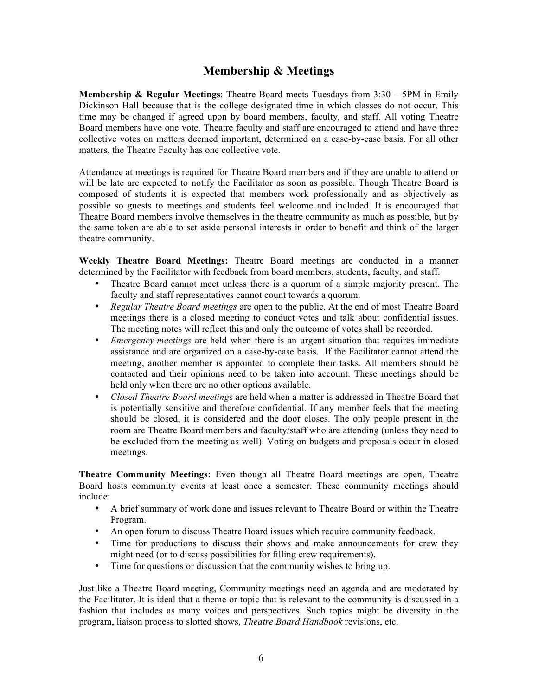### **Membership & Meetings**

**Membership & Regular Meetings**: Theatre Board meets Tuesdays from 3:30 – 5PM in Emily Dickinson Hall because that is the college designated time in which classes do not occur. This time may be changed if agreed upon by board members, faculty, and staff. All voting Theatre Board members have one vote. Theatre faculty and staff are encouraged to attend and have three collective votes on matters deemed important, determined on a case-by-case basis. For all other matters, the Theatre Faculty has one collective vote.

Attendance at meetings is required for Theatre Board members and if they are unable to attend or will be late are expected to notify the Facilitator as soon as possible. Though Theatre Board is composed of students it is expected that members work professionally and as objectively as possible so guests to meetings and students feel welcome and included. It is encouraged that Theatre Board members involve themselves in the theatre community as much as possible, but by the same token are able to set aside personal interests in order to benefit and think of the larger theatre community.

**Weekly Theatre Board Meetings:** Theatre Board meetings are conducted in a manner determined by the Facilitator with feedback from board members, students, faculty, and staff.

- Theatre Board cannot meet unless there is a quorum of a simple majority present. The faculty and staff representatives cannot count towards a quorum.
- *Regular Theatre Board meetings* are open to the public. At the end of most Theatre Board meetings there is a closed meeting to conduct votes and talk about confidential issues. The meeting notes will reflect this and only the outcome of votes shall be recorded.
- *Emergency meetings* are held when there is an urgent situation that requires immediate assistance and are organized on a case-by-case basis. If the Facilitator cannot attend the meeting, another member is appointed to complete their tasks. All members should be contacted and their opinions need to be taken into account. These meetings should be held only when there are no other options available.
- *Closed Theatre Board meeting*s are held when a matter is addressed in Theatre Board that is potentially sensitive and therefore confidential. If any member feels that the meeting should be closed, it is considered and the door closes. The only people present in the room are Theatre Board members and faculty/staff who are attending (unless they need to be excluded from the meeting as well). Voting on budgets and proposals occur in closed meetings.

**Theatre Community Meetings:** Even though all Theatre Board meetings are open, Theatre Board hosts community events at least once a semester. These community meetings should include:

- A brief summary of work done and issues relevant to Theatre Board or within the Theatre Program.
- An open forum to discuss Theatre Board issues which require community feedback.
- Time for productions to discuss their shows and make announcements for crew they might need (or to discuss possibilities for filling crew requirements).
- Time for questions or discussion that the community wishes to bring up.

Just like a Theatre Board meeting, Community meetings need an agenda and are moderated by the Facilitator. It is ideal that a theme or topic that is relevant to the community is discussed in a fashion that includes as many voices and perspectives. Such topics might be diversity in the program, liaison process to slotted shows, *Theatre Board Handbook* revisions, etc.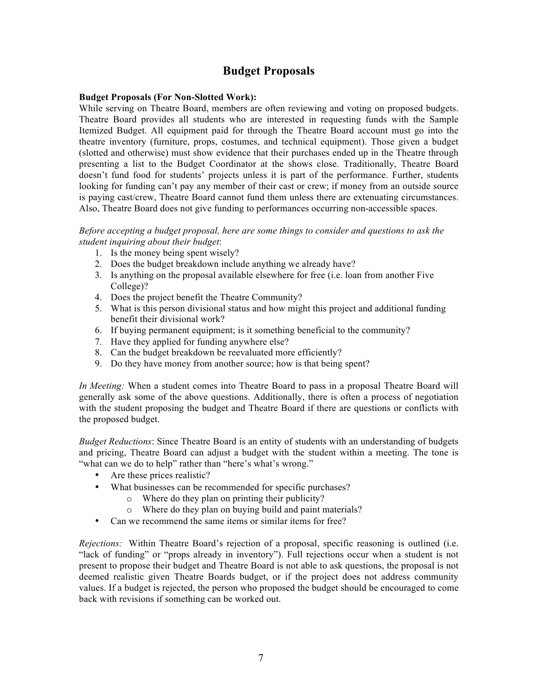### **Budget Proposals**

#### **Budget Proposals (For Non-Slotted Work):**

While serving on Theatre Board, members are often reviewing and voting on proposed budgets. Theatre Board provides all students who are interested in requesting funds with the Sample Itemized Budget. All equipment paid for through the Theatre Board account must go into the theatre inventory (furniture, props, costumes, and technical equipment). Those given a budget (slotted and otherwise) must show evidence that their purchases ended up in the Theatre through presenting a list to the Budget Coordinator at the shows close. Traditionally, Theatre Board doesn't fund food for students' projects unless it is part of the performance. Further, students looking for funding can't pay any member of their cast or crew; if money from an outside source is paying cast/crew, Theatre Board cannot fund them unless there are extenuating circumstances. Also, Theatre Board does not give funding to performances occurring non-accessible spaces.

*Before accepting a budget proposal, here are some things to consider and questions to ask the student inquiring about their budget*:

- 1. Is the money being spent wisely?
- 2. Does the budget breakdown include anything we already have?
- 3. Is anything on the proposal available elsewhere for free (i.e. loan from another Five College)?
- 4. Does the project benefit the Theatre Community?
- 5. What is this person divisional status and how might this project and additional funding benefit their divisional work?
- 6. If buying permanent equipment; is it something beneficial to the community?
- 7. Have they applied for funding anywhere else?
- 8. Can the budget breakdown be reevaluated more efficiently?
- 9. Do they have money from another source; how is that being spent?

*In Meeting:* When a student comes into Theatre Board to pass in a proposal Theatre Board will generally ask some of the above questions. Additionally, there is often a process of negotiation with the student proposing the budget and Theatre Board if there are questions or conflicts with the proposed budget.

*Budget Reductions*: Since Theatre Board is an entity of students with an understanding of budgets and pricing, Theatre Board can adjust a budget with the student within a meeting. The tone is "what can we do to help" rather than "here's what's wrong."

- Are these prices realistic?
- What businesses can be recommended for specific purchases?
	- o Where do they plan on printing their publicity?
	- o Where do they plan on buying build and paint materials?
- Can we recommend the same items or similar items for free?

*Rejections:* Within Theatre Board's rejection of a proposal, specific reasoning is outlined (i.e. "lack of funding" or "props already in inventory"). Full rejections occur when a student is not present to propose their budget and Theatre Board is not able to ask questions, the proposal is not deemed realistic given Theatre Boards budget, or if the project does not address community values. If a budget is rejected, the person who proposed the budget should be encouraged to come back with revisions if something can be worked out.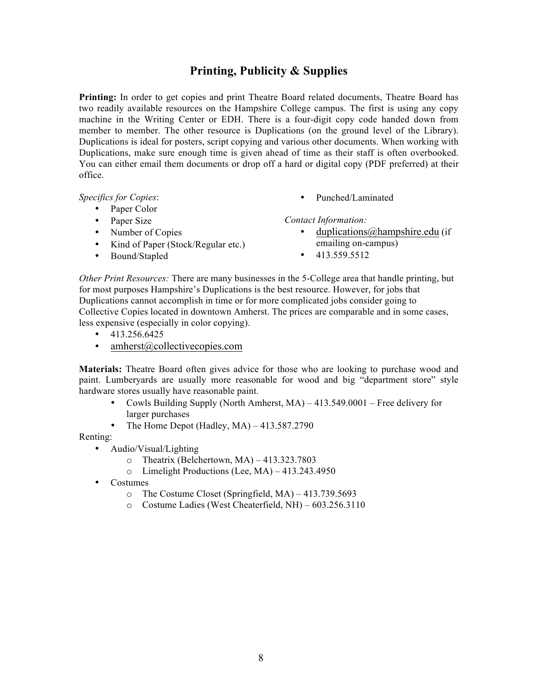### **Printing, Publicity & Supplies**

**Printing:** In order to get copies and print Theatre Board related documents, Theatre Board has two readily available resources on the Hampshire College campus. The first is using any copy machine in the Writing Center or EDH. There is a four-digit copy code handed down from member to member. The other resource is Duplications (on the ground level of the Library). Duplications is ideal for posters, script copying and various other documents. When working with Duplications, make sure enough time is given ahead of time as their staff is often overbooked. You can either email them documents or drop off a hard or digital copy (PDF preferred) at their office.

*Specifics for Copies*:

- Paper Color
- Paper Size
- Number of Copies
- Kind of Paper (Stock/Regular etc.)
- Bound/Stapled

• Punched/Laminated

*Contact Information:*

- duplications@hampshire.edu (if emailing on-campus)
- $\cdot$  413.559.5512

*Other Print Resources:* There are many businesses in the 5-College area that handle printing, but for most purposes Hampshire's Duplications is the best resource. However, for jobs that Duplications cannot accomplish in time or for more complicated jobs consider going to Collective Copies located in downtown Amherst. The prices are comparable and in some cases, less expensive (especially in color copying).

- $\cdot$  413.256.6425
- amherst@collectivecopies.com

**Materials:** Theatre Board often gives advice for those who are looking to purchase wood and paint. Lumberyards are usually more reasonable for wood and big "department store" style hardware stores usually have reasonable paint.

- Cowls Building Supply (North Amherst, MA) 413.549.0001 Free delivery for larger purchases
- The Home Depot (Hadley,  $MA$ ) 413.587.2790

Renting:

- Audio/Visual/Lighting
	- $\circ$  Theatrix (Belchertown, MA) 413.323.7803
	- o Limelight Productions (Lee, MA) 413.243.4950
- Costumes
	- o The Costume Closet (Springfield, MA) 413.739.5693
	- o Costume Ladies (West Cheaterfield, NH) 603.256.3110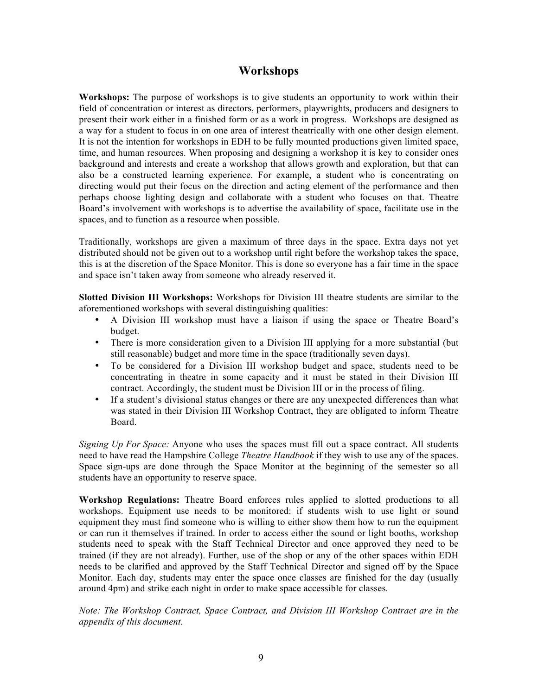### **Workshops**

**Workshops:** The purpose of workshops is to give students an opportunity to work within their field of concentration or interest as directors, performers, playwrights, producers and designers to present their work either in a finished form or as a work in progress. Workshops are designed as a way for a student to focus in on one area of interest theatrically with one other design element. It is not the intention for workshops in EDH to be fully mounted productions given limited space, time, and human resources. When proposing and designing a workshop it is key to consider ones background and interests and create a workshop that allows growth and exploration, but that can also be a constructed learning experience. For example, a student who is concentrating on directing would put their focus on the direction and acting element of the performance and then perhaps choose lighting design and collaborate with a student who focuses on that. Theatre Board's involvement with workshops is to advertise the availability of space, facilitate use in the spaces, and to function as a resource when possible.

Traditionally, workshops are given a maximum of three days in the space. Extra days not yet distributed should not be given out to a workshop until right before the workshop takes the space, this is at the discretion of the Space Monitor. This is done so everyone has a fair time in the space and space isn't taken away from someone who already reserved it.

**Slotted Division III Workshops:** Workshops for Division III theatre students are similar to the aforementioned workshops with several distinguishing qualities:

- A Division III workshop must have a liaison if using the space or Theatre Board's budget.
- There is more consideration given to a Division III applying for a more substantial (but still reasonable) budget and more time in the space (traditionally seven days).
- To be considered for a Division III workshop budget and space, students need to be concentrating in theatre in some capacity and it must be stated in their Division III contract. Accordingly, the student must be Division III or in the process of filing.
- If a student's divisional status changes or there are any unexpected differences than what was stated in their Division III Workshop Contract, they are obligated to inform Theatre Board.

*Signing Up For Space:* Anyone who uses the spaces must fill out a space contract. All students need to have read the Hampshire College *Theatre Handbook* if they wish to use any of the spaces. Space sign-ups are done through the Space Monitor at the beginning of the semester so all students have an opportunity to reserve space.

**Workshop Regulations:** Theatre Board enforces rules applied to slotted productions to all workshops. Equipment use needs to be monitored: if students wish to use light or sound equipment they must find someone who is willing to either show them how to run the equipment or can run it themselves if trained. In order to access either the sound or light booths, workshop students need to speak with the Staff Technical Director and once approved they need to be trained (if they are not already). Further, use of the shop or any of the other spaces within EDH needs to be clarified and approved by the Staff Technical Director and signed off by the Space Monitor. Each day, students may enter the space once classes are finished for the day (usually around 4pm) and strike each night in order to make space accessible for classes.

*Note: The Workshop Contract, Space Contract, and Division III Workshop Contract are in the appendix of this document.*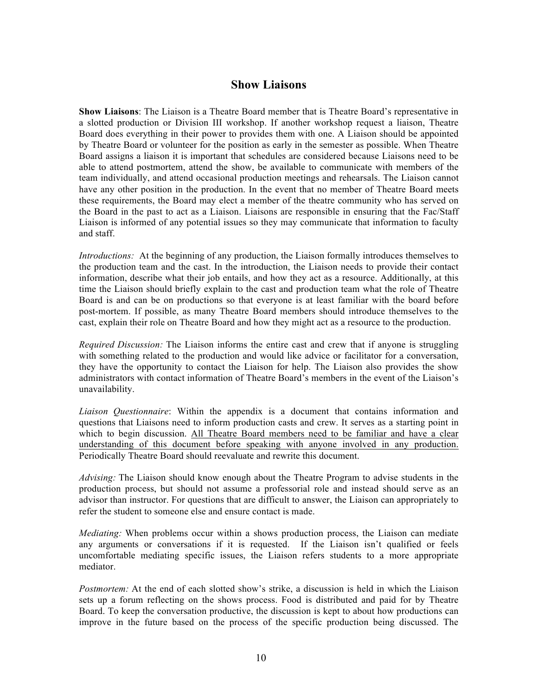### **Show Liaisons**

**Show Liaisons**: The Liaison is a Theatre Board member that is Theatre Board's representative in a slotted production or Division III workshop. If another workshop request a liaison, Theatre Board does everything in their power to provides them with one. A Liaison should be appointed by Theatre Board or volunteer for the position as early in the semester as possible. When Theatre Board assigns a liaison it is important that schedules are considered because Liaisons need to be able to attend postmortem, attend the show, be available to communicate with members of the team individually, and attend occasional production meetings and rehearsals. The Liaison cannot have any other position in the production. In the event that no member of Theatre Board meets these requirements, the Board may elect a member of the theatre community who has served on the Board in the past to act as a Liaison. Liaisons are responsible in ensuring that the Fac/Staff Liaison is informed of any potential issues so they may communicate that information to faculty and staff.

*Introductions:* At the beginning of any production, the Liaison formally introduces themselves to the production team and the cast. In the introduction, the Liaison needs to provide their contact information, describe what their job entails, and how they act as a resource. Additionally, at this time the Liaison should briefly explain to the cast and production team what the role of Theatre Board is and can be on productions so that everyone is at least familiar with the board before post-mortem. If possible, as many Theatre Board members should introduce themselves to the cast, explain their role on Theatre Board and how they might act as a resource to the production.

*Required Discussion:* The Liaison informs the entire cast and crew that if anyone is struggling with something related to the production and would like advice or facilitator for a conversation, they have the opportunity to contact the Liaison for help. The Liaison also provides the show administrators with contact information of Theatre Board's members in the event of the Liaison's unavailability.

*Liaison Questionnaire*: Within the appendix is a document that contains information and questions that Liaisons need to inform production casts and crew. It serves as a starting point in which to begin discussion. All Theatre Board members need to be familiar and have a clear understanding of this document before speaking with anyone involved in any production. Periodically Theatre Board should reevaluate and rewrite this document.

*Advising:* The Liaison should know enough about the Theatre Program to advise students in the production process, but should not assume a professorial role and instead should serve as an advisor than instructor. For questions that are difficult to answer, the Liaison can appropriately to refer the student to someone else and ensure contact is made.

*Mediating:* When problems occur within a shows production process, the Liaison can mediate any arguments or conversations if it is requested. If the Liaison isn't qualified or feels uncomfortable mediating specific issues, the Liaison refers students to a more appropriate mediator.

*Postmortem:* At the end of each slotted show's strike, a discussion is held in which the Liaison sets up a forum reflecting on the shows process. Food is distributed and paid for by Theatre Board. To keep the conversation productive, the discussion is kept to about how productions can improve in the future based on the process of the specific production being discussed. The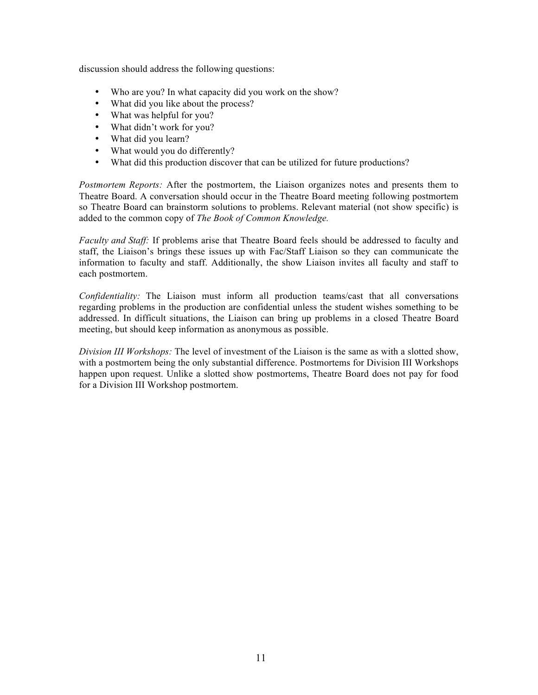discussion should address the following questions:

- Who are you? In what capacity did you work on the show?
- What did you like about the process?
- What was helpful for you?
- What didn't work for you?
- What did you learn?
- What would you do differently?
- What did this production discover that can be utilized for future productions?

*Postmortem Reports:* After the postmortem, the Liaison organizes notes and presents them to Theatre Board. A conversation should occur in the Theatre Board meeting following postmortem so Theatre Board can brainstorm solutions to problems. Relevant material (not show specific) is added to the common copy of *The Book of Common Knowledge.*

*Faculty and Staff:* If problems arise that Theatre Board feels should be addressed to faculty and staff, the Liaison's brings these issues up with Fac/Staff Liaison so they can communicate the information to faculty and staff. Additionally, the show Liaison invites all faculty and staff to each postmortem.

*Confidentiality:* The Liaison must inform all production teams/cast that all conversations regarding problems in the production are confidential unless the student wishes something to be addressed. In difficult situations, the Liaison can bring up problems in a closed Theatre Board meeting, but should keep information as anonymous as possible.

*Division III Workshops:* The level of investment of the Liaison is the same as with a slotted show, with a postmortem being the only substantial difference. Postmortems for Division III Workshops happen upon request. Unlike a slotted show postmortems, Theatre Board does not pay for food for a Division III Workshop postmortem.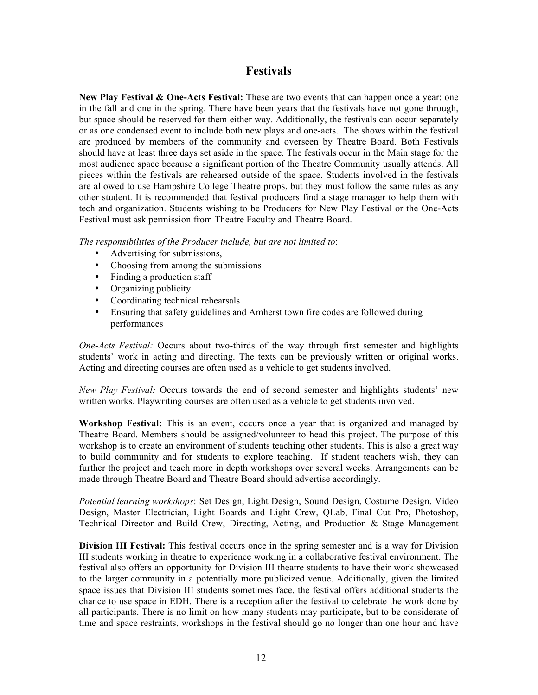### **Festivals**

**New Play Festival & One-Acts Festival:** These are two events that can happen once a year: one in the fall and one in the spring. There have been years that the festivals have not gone through, but space should be reserved for them either way. Additionally, the festivals can occur separately or as one condensed event to include both new plays and one-acts. The shows within the festival are produced by members of the community and overseen by Theatre Board. Both Festivals should have at least three days set aside in the space. The festivals occur in the Main stage for the most audience space because a significant portion of the Theatre Community usually attends. All pieces within the festivals are rehearsed outside of the space. Students involved in the festivals are allowed to use Hampshire College Theatre props, but they must follow the same rules as any other student. It is recommended that festival producers find a stage manager to help them with tech and organization. Students wishing to be Producers for New Play Festival or the One-Acts Festival must ask permission from Theatre Faculty and Theatre Board.

*The responsibilities of the Producer include, but are not limited to*:

- Advertising for submissions,
- Choosing from among the submissions
- Finding a production staff
- Organizing publicity
- Coordinating technical rehearsals
- Ensuring that safety guidelines and Amherst town fire codes are followed during performances

*One-Acts Festival:* Occurs about two-thirds of the way through first semester and highlights students' work in acting and directing. The texts can be previously written or original works. Acting and directing courses are often used as a vehicle to get students involved.

*New Play Festival:* Occurs towards the end of second semester and highlights students' new written works. Playwriting courses are often used as a vehicle to get students involved.

**Workshop Festival:** This is an event, occurs once a year that is organized and managed by Theatre Board. Members should be assigned/volunteer to head this project. The purpose of this workshop is to create an environment of students teaching other students. This is also a great way to build community and for students to explore teaching. If student teachers wish, they can further the project and teach more in depth workshops over several weeks. Arrangements can be made through Theatre Board and Theatre Board should advertise accordingly.

*Potential learning workshops*: Set Design, Light Design, Sound Design, Costume Design, Video Design, Master Electrician, Light Boards and Light Crew, QLab, Final Cut Pro, Photoshop, Technical Director and Build Crew, Directing, Acting, and Production & Stage Management

**Division III Festival:** This festival occurs once in the spring semester and is a way for Division III students working in theatre to experience working in a collaborative festival environment. The festival also offers an opportunity for Division III theatre students to have their work showcased to the larger community in a potentially more publicized venue. Additionally, given the limited space issues that Division III students sometimes face, the festival offers additional students the chance to use space in EDH. There is a reception after the festival to celebrate the work done by all participants. There is no limit on how many students may participate, but to be considerate of time and space restraints, workshops in the festival should go no longer than one hour and have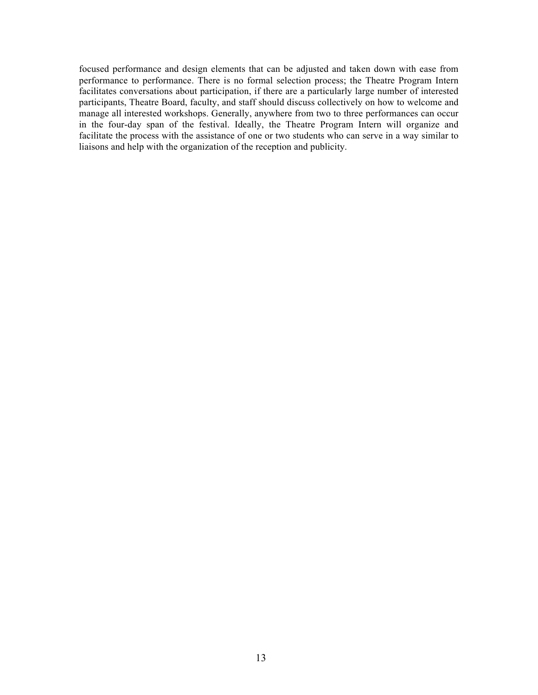focused performance and design elements that can be adjusted and taken down with ease from performance to performance. There is no formal selection process; the Theatre Program Intern facilitates conversations about participation, if there are a particularly large number of interested participants, Theatre Board, faculty, and staff should discuss collectively on how to welcome and manage all interested workshops. Generally, anywhere from two to three performances can occur in the four-day span of the festival. Ideally, the Theatre Program Intern will organize and facilitate the process with the assistance of one or two students who can serve in a way similar to liaisons and help with the organization of the reception and publicity.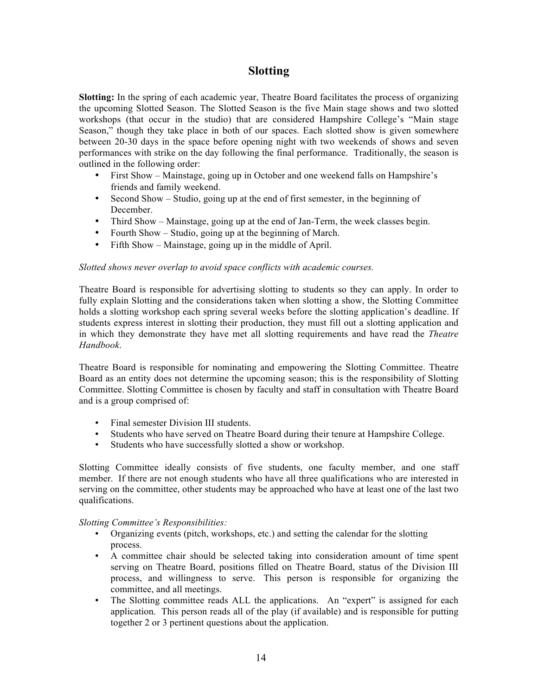### **Slotting**

**Slotting:** In the spring of each academic year, Theatre Board facilitates the process of organizing the upcoming Slotted Season. The Slotted Season is the five Main stage shows and two slotted workshops (that occur in the studio) that are considered Hampshire College's "Main stage Season," though they take place in both of our spaces. Each slotted show is given somewhere between 20-30 days in the space before opening night with two weekends of shows and seven performances with strike on the day following the final performance. Traditionally, the season is outlined in the following order:

- First Show Mainstage, going up in October and one weekend falls on Hampshire's friends and family weekend.
- Second Show Studio, going up at the end of first semester, in the beginning of December.
- Third Show Mainstage, going up at the end of Jan-Term, the week classes begin.
- Fourth Show Studio, going up at the beginning of March.
- Fifth Show Mainstage, going up in the middle of April.

#### *Slotted shows never overlap to avoid space conflicts with academic courses.*

Theatre Board is responsible for advertising slotting to students so they can apply. In order to fully explain Slotting and the considerations taken when slotting a show, the Slotting Committee holds a slotting workshop each spring several weeks before the slotting application's deadline. If students express interest in slotting their production, they must fill out a slotting application and in which they demonstrate they have met all slotting requirements and have read the *Theatre Handbook*.

Theatre Board is responsible for nominating and empowering the Slotting Committee. Theatre Board as an entity does not determine the upcoming season; this is the responsibility of Slotting Committee. Slotting Committee is chosen by faculty and staff in consultation with Theatre Board and is a group comprised of:

- Final semester Division III students.
- Students who have served on Theatre Board during their tenure at Hampshire College.
- Students who have successfully slotted a show or workshop.

Slotting Committee ideally consists of five students, one faculty member, and one staff member. If there are not enough students who have all three qualifications who are interested in serving on the committee, other students may be approached who have at least one of the last two qualifications.

#### *Slotting Committee's Responsibilities:*

- Organizing events (pitch, workshops, etc.) and setting the calendar for the slotting process.
- A committee chair should be selected taking into consideration amount of time spent serving on Theatre Board, positions filled on Theatre Board, status of the Division III process, and willingness to serve. This person is responsible for organizing the committee, and all meetings.
- The Slotting committee reads ALL the applications. An "expert" is assigned for each application. This person reads all of the play (if available) and is responsible for putting together 2 or 3 pertinent questions about the application.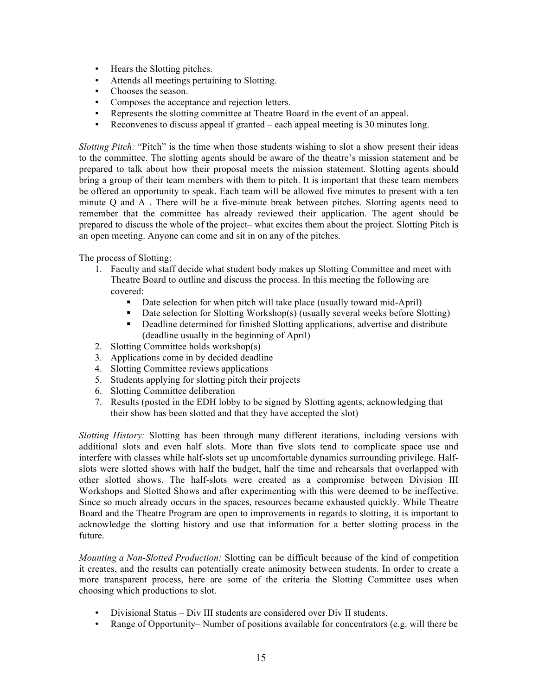- Hears the Slotting pitches.
- Attends all meetings pertaining to Slotting.
- Chooses the season.
- Composes the acceptance and rejection letters.
- Represents the slotting committee at Theatre Board in the event of an appeal.
- Reconvenes to discuss appeal if granted each appeal meeting is 30 minutes long.

*Slotting Pitch:* "Pitch" is the time when those students wishing to slot a show present their ideas to the committee. The slotting agents should be aware of the theatre's mission statement and be prepared to talk about how their proposal meets the mission statement. Slotting agents should bring a group of their team members with them to pitch. It is important that these team members be offered an opportunity to speak. Each team will be allowed five minutes to present with a ten minute Q and A . There will be a five-minute break between pitches. Slotting agents need to remember that the committee has already reviewed their application. The agent should be prepared to discuss the whole of the project– what excites them about the project. Slotting Pitch is an open meeting. Anyone can come and sit in on any of the pitches.

The process of Slotting:

- 1. Faculty and staff decide what student body makes up Slotting Committee and meet with Theatre Board to outline and discuss the process. In this meeting the following are covered:
	- Date selection for when pitch will take place (usually toward mid-April)
	- Date selection for Slotting Workshop(s) (usually several weeks before Slotting)
	- Deadline determined for finished Slotting applications, advertise and distribute (deadline usually in the beginning of April)
- 2. Slotting Committee holds workshop(s)
- 3. Applications come in by decided deadline
- 4. Slotting Committee reviews applications
- 5. Students applying for slotting pitch their projects
- 6. Slotting Committee deliberation
- 7. Results (posted in the EDH lobby to be signed by Slotting agents, acknowledging that their show has been slotted and that they have accepted the slot)

*Slotting History:* Slotting has been through many different iterations, including versions with additional slots and even half slots. More than five slots tend to complicate space use and interfere with classes while half-slots set up uncomfortable dynamics surrounding privilege. Halfslots were slotted shows with half the budget, half the time and rehearsals that overlapped with other slotted shows. The half-slots were created as a compromise between Division III Workshops and Slotted Shows and after experimenting with this were deemed to be ineffective. Since so much already occurs in the spaces, resources became exhausted quickly. While Theatre Board and the Theatre Program are open to improvements in regards to slotting, it is important to acknowledge the slotting history and use that information for a better slotting process in the future.

*Mounting a Non-Slotted Production:* Slotting can be difficult because of the kind of competition it creates, and the results can potentially create animosity between students. In order to create a more transparent process, here are some of the criteria the Slotting Committee uses when choosing which productions to slot.

- Divisional Status Div III students are considered over Div II students.
- Range of Opportunity– Number of positions available for concentrators (e.g. will there be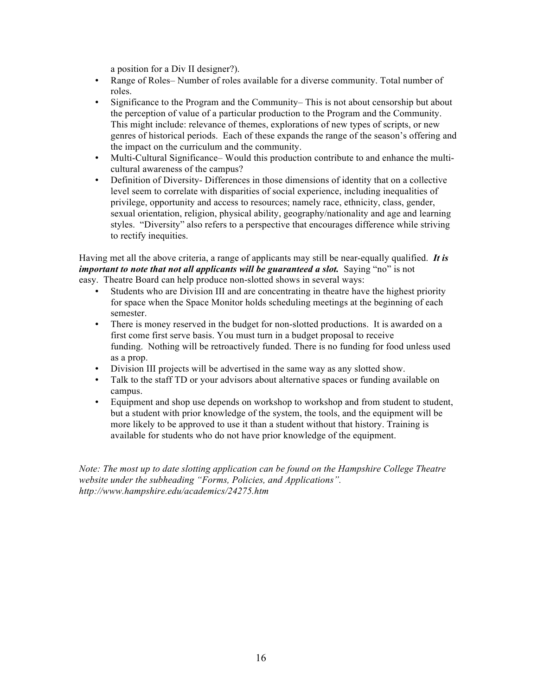a position for a Div II designer?).

- Range of Roles– Number of roles available for a diverse community. Total number of roles.
- Significance to the Program and the Community– This is not about censorship but about the perception of value of a particular production to the Program and the Community. This might include: relevance of themes, explorations of new types of scripts, or new genres of historical periods. Each of these expands the range of the season's offering and the impact on the curriculum and the community.
- Multi-Cultural Significance– Would this production contribute to and enhance the multicultural awareness of the campus?
- Definition of Diversity- Differences in those dimensions of identity that on a collective level seem to correlate with disparities of social experience, including inequalities of privilege, opportunity and access to resources; namely race, ethnicity, class, gender, sexual orientation, religion, physical ability, geography/nationality and age and learning styles. "Diversity" also refers to a perspective that encourages difference while striving to rectify inequities.

Having met all the above criteria, a range of applicants may still be near-equally qualified. *It is important to note that not all applicants will be guaranteed a slot.* Saying "no" is not easy. Theatre Board can help produce non-slotted shows in several ways:

- Students who are Division III and are concentrating in theatre have the highest priority for space when the Space Monitor holds scheduling meetings at the beginning of each semester.
- There is money reserved in the budget for non-slotted productions. It is awarded on a first come first serve basis. You must turn in a budget proposal to receive funding. Nothing will be retroactively funded. There is no funding for food unless used as a prop.
- Division III projects will be advertised in the same way as any slotted show.
- Talk to the staff TD or your advisors about alternative spaces or funding available on campus.
- Equipment and shop use depends on workshop to workshop and from student to student, but a student with prior knowledge of the system, the tools, and the equipment will be more likely to be approved to use it than a student without that history. Training is available for students who do not have prior knowledge of the equipment.

*Note: The most up to date slotting application can be found on the Hampshire College Theatre website under the subheading "Forms, Policies, and Applications". http://www.hampshire.edu/academics/24275.htm*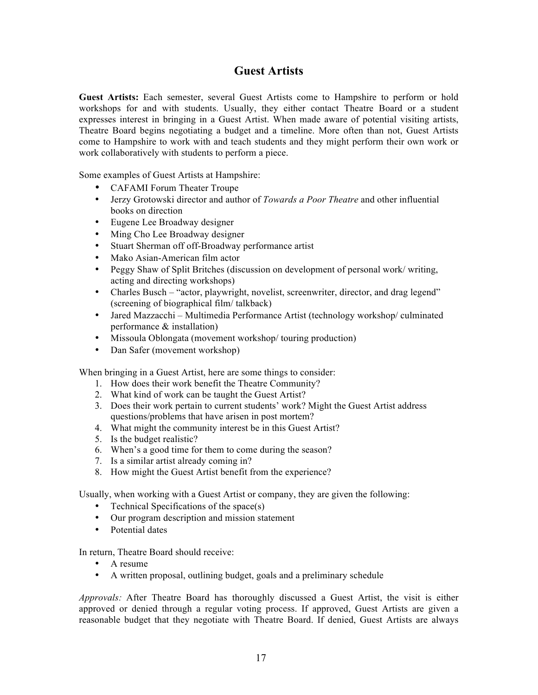### **Guest Artists**

**Guest Artists:** Each semester, several Guest Artists come to Hampshire to perform or hold workshops for and with students. Usually, they either contact Theatre Board or a student expresses interest in bringing in a Guest Artist. When made aware of potential visiting artists, Theatre Board begins negotiating a budget and a timeline. More often than not, Guest Artists come to Hampshire to work with and teach students and they might perform their own work or work collaboratively with students to perform a piece.

Some examples of Guest Artists at Hampshire:

- CAFAMI Forum Theater Troupe
- Jerzy Grotowski director and author of *Towards a Poor Theatre* and other influential books on direction
- Eugene Lee Broadway designer
- Ming Cho Lee Broadway designer
- Stuart Sherman off off-Broadway performance artist
- Mako Asian-American film actor
- Peggy Shaw of Split Britches (discussion on development of personal work/ writing, acting and directing workshops)
- Charles Busch "actor, playwright, novelist, screenwriter, director, and drag legend" (screening of biographical film/ talkback)
- Jared Mazzacchi Multimedia Performance Artist (technology workshop/ culminated performance & installation)
- Missoula Oblongata (movement workshop/ touring production)
- Dan Safer (movement workshop)

When bringing in a Guest Artist, here are some things to consider:

- 1. How does their work benefit the Theatre Community?
- 2. What kind of work can be taught the Guest Artist?
- 3. Does their work pertain to current students' work? Might the Guest Artist address questions/problems that have arisen in post mortem?
- 4. What might the community interest be in this Guest Artist?
- 5. Is the budget realistic?
- 6. When's a good time for them to come during the season?
- 7. Is a similar artist already coming in?
- 8. How might the Guest Artist benefit from the experience?

Usually, when working with a Guest Artist or company, they are given the following:

- Technical Specifications of the space(s)
- Our program description and mission statement
- Potential dates

In return, Theatre Board should receive:

- A resume
- A written proposal, outlining budget, goals and a preliminary schedule

*Approvals:* After Theatre Board has thoroughly discussed a Guest Artist, the visit is either approved or denied through a regular voting process. If approved, Guest Artists are given a reasonable budget that they negotiate with Theatre Board. If denied, Guest Artists are always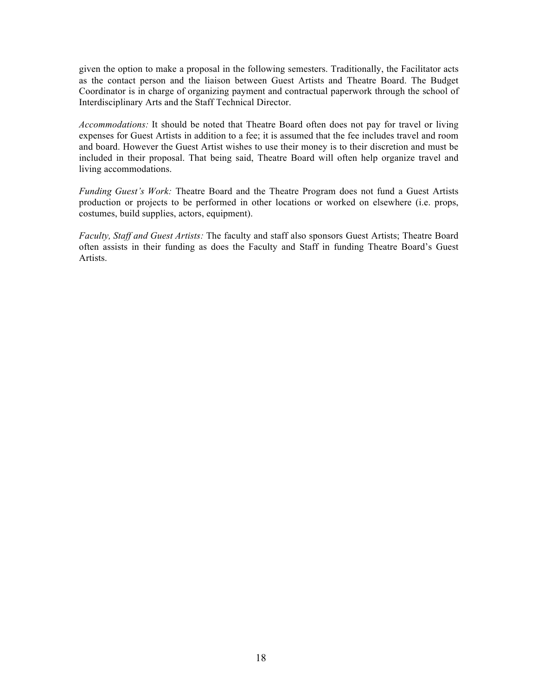given the option to make a proposal in the following semesters. Traditionally, the Facilitator acts as the contact person and the liaison between Guest Artists and Theatre Board. The Budget Coordinator is in charge of organizing payment and contractual paperwork through the school of Interdisciplinary Arts and the Staff Technical Director.

*Accommodations:* It should be noted that Theatre Board often does not pay for travel or living expenses for Guest Artists in addition to a fee; it is assumed that the fee includes travel and room and board. However the Guest Artist wishes to use their money is to their discretion and must be included in their proposal. That being said, Theatre Board will often help organize travel and living accommodations.

*Funding Guest's Work:* Theatre Board and the Theatre Program does not fund a Guest Artists production or projects to be performed in other locations or worked on elsewhere (i.e. props, costumes, build supplies, actors, equipment).

*Faculty, Staff and Guest Artists:* The faculty and staff also sponsors Guest Artists; Theatre Board often assists in their funding as does the Faculty and Staff in funding Theatre Board's Guest Artists.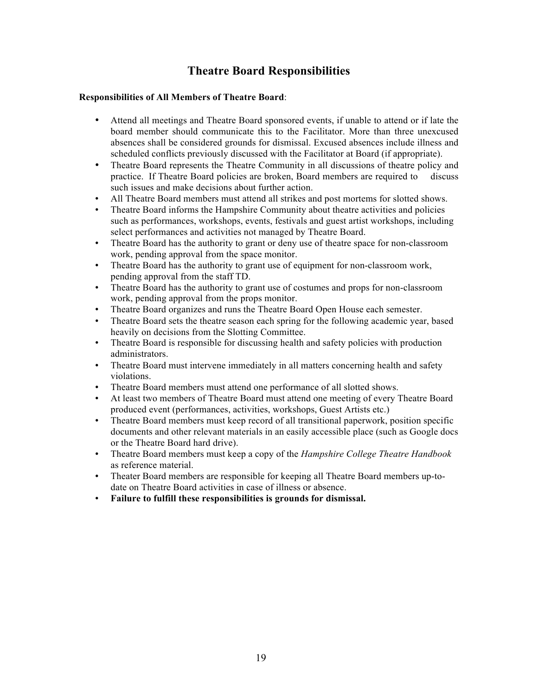### **Theatre Board Responsibilities**

#### **Responsibilities of All Members of Theatre Board**:

- Attend all meetings and Theatre Board sponsored events, if unable to attend or if late the board member should communicate this to the Facilitator. More than three unexcused absences shall be considered grounds for dismissal. Excused absences include illness and scheduled conflicts previously discussed with the Facilitator at Board (if appropriate).
- Theatre Board represents the Theatre Community in all discussions of theatre policy and practice. If Theatre Board policies are broken, Board members are required to discuss such issues and make decisions about further action.
- All Theatre Board members must attend all strikes and post mortems for slotted shows.
- Theatre Board informs the Hampshire Community about theatre activities and policies such as performances, workshops, events, festivals and guest artist workshops, including select performances and activities not managed by Theatre Board.
- Theatre Board has the authority to grant or deny use of theatre space for non-classroom work, pending approval from the space monitor.
- Theatre Board has the authority to grant use of equipment for non-classroom work, pending approval from the staff TD.
- Theatre Board has the authority to grant use of costumes and props for non-classroom work, pending approval from the props monitor.
- Theatre Board organizes and runs the Theatre Board Open House each semester.
- Theatre Board sets the theatre season each spring for the following academic year, based heavily on decisions from the Slotting Committee.
- Theatre Board is responsible for discussing health and safety policies with production administrators.
- Theatre Board must intervene immediately in all matters concerning health and safety violations.
- Theatre Board members must attend one performance of all slotted shows.
- At least two members of Theatre Board must attend one meeting of every Theatre Board produced event (performances, activities, workshops, Guest Artists etc.)
- Theatre Board members must keep record of all transitional paperwork, position specific documents and other relevant materials in an easily accessible place (such as Google docs or the Theatre Board hard drive).
- Theatre Board members must keep a copy of the *Hampshire College Theatre Handbook* as reference material.
- Theater Board members are responsible for keeping all Theatre Board members up-todate on Theatre Board activities in case of illness or absence.
- **Failure to fulfill these responsibilities is grounds for dismissal.**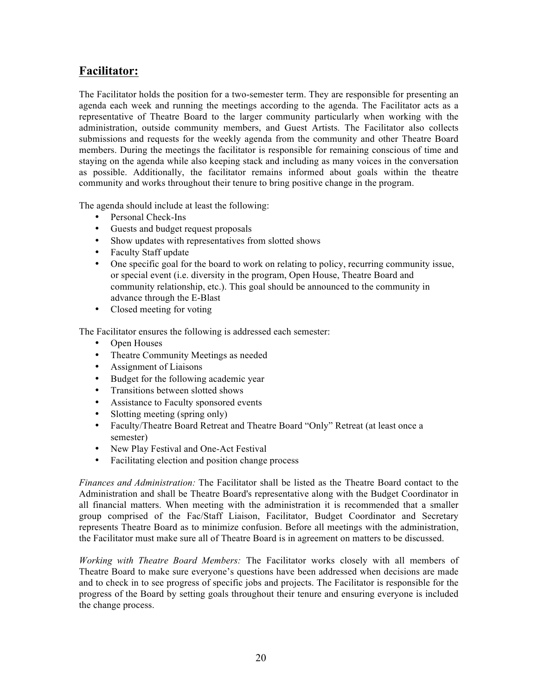### **Facilitator:**

The Facilitator holds the position for a two-semester term. They are responsible for presenting an agenda each week and running the meetings according to the agenda. The Facilitator acts as a representative of Theatre Board to the larger community particularly when working with the administration, outside community members, and Guest Artists. The Facilitator also collects submissions and requests for the weekly agenda from the community and other Theatre Board members. During the meetings the facilitator is responsible for remaining conscious of time and staying on the agenda while also keeping stack and including as many voices in the conversation as possible. Additionally, the facilitator remains informed about goals within the theatre community and works throughout their tenure to bring positive change in the program.

The agenda should include at least the following:

- Personal Check-Ins
- Guests and budget request proposals
- Show updates with representatives from slotted shows
- Faculty Staff update
- One specific goal for the board to work on relating to policy, recurring community issue, or special event (i.e. diversity in the program, Open House, Theatre Board and community relationship, etc.). This goal should be announced to the community in advance through the E-Blast
- Closed meeting for voting

The Facilitator ensures the following is addressed each semester:

- Open Houses
- Theatre Community Meetings as needed
- Assignment of Liaisons
- Budget for the following academic year
- Transitions between slotted shows
- Assistance to Faculty sponsored events
- Slotting meeting (spring only)
- Faculty/Theatre Board Retreat and Theatre Board "Only" Retreat (at least once a semester)
- New Play Festival and One-Act Festival
- Facilitating election and position change process

*Finances and Administration:* The Facilitator shall be listed as the Theatre Board contact to the Administration and shall be Theatre Board's representative along with the Budget Coordinator in all financial matters. When meeting with the administration it is recommended that a smaller group comprised of the Fac/Staff Liaison, Facilitator, Budget Coordinator and Secretary represents Theatre Board as to minimize confusion. Before all meetings with the administration, the Facilitator must make sure all of Theatre Board is in agreement on matters to be discussed.

*Working with Theatre Board Members:* The Facilitator works closely with all members of Theatre Board to make sure everyone's questions have been addressed when decisions are made and to check in to see progress of specific jobs and projects. The Facilitator is responsible for the progress of the Board by setting goals throughout their tenure and ensuring everyone is included the change process.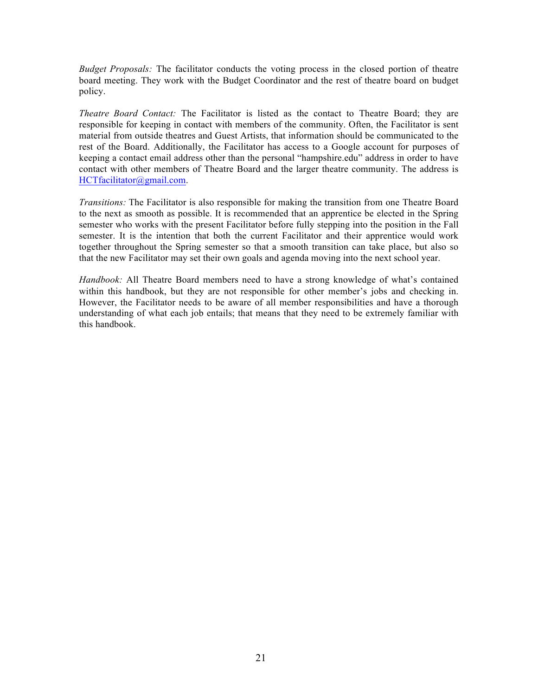*Budget Proposals:* The facilitator conducts the voting process in the closed portion of theatre board meeting. They work with the Budget Coordinator and the rest of theatre board on budget policy.

*Theatre Board Contact:* The Facilitator is listed as the contact to Theatre Board; they are responsible for keeping in contact with members of the community. Often, the Facilitator is sent material from outside theatres and Guest Artists, that information should be communicated to the rest of the Board. Additionally, the Facilitator has access to a Google account for purposes of keeping a contact email address other than the personal "hampshire.edu" address in order to have contact with other members of Theatre Board and the larger theatre community. The address is HCTfacilitator@gmail.com.

*Transitions:* The Facilitator is also responsible for making the transition from one Theatre Board to the next as smooth as possible. It is recommended that an apprentice be elected in the Spring semester who works with the present Facilitator before fully stepping into the position in the Fall semester. It is the intention that both the current Facilitator and their apprentice would work together throughout the Spring semester so that a smooth transition can take place, but also so that the new Facilitator may set their own goals and agenda moving into the next school year.

*Handbook:* All Theatre Board members need to have a strong knowledge of what's contained within this handbook, but they are not responsible for other member's jobs and checking in. However, the Facilitator needs to be aware of all member responsibilities and have a thorough understanding of what each job entails; that means that they need to be extremely familiar with this handbook.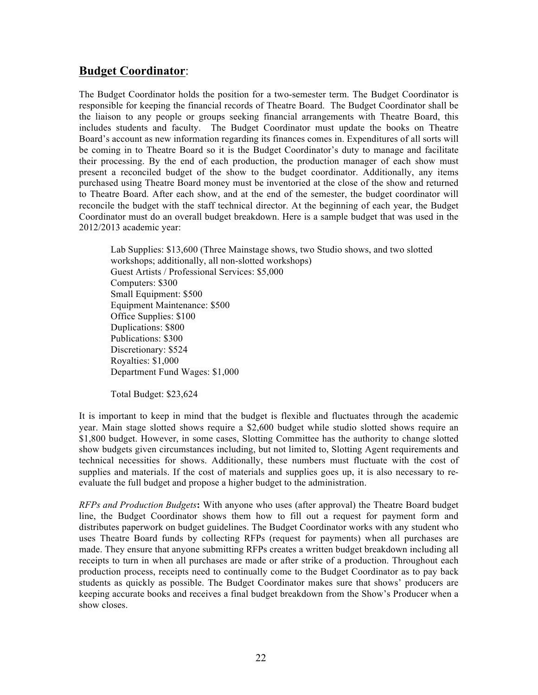### **Budget Coordinator**:

The Budget Coordinator holds the position for a two-semester term. The Budget Coordinator is responsible for keeping the financial records of Theatre Board. The Budget Coordinator shall be the liaison to any people or groups seeking financial arrangements with Theatre Board, this includes students and faculty. The Budget Coordinator must update the books on Theatre Board's account as new information regarding its finances comes in. Expenditures of all sorts will be coming in to Theatre Board so it is the Budget Coordinator's duty to manage and facilitate their processing. By the end of each production, the production manager of each show must present a reconciled budget of the show to the budget coordinator. Additionally, any items purchased using Theatre Board money must be inventoried at the close of the show and returned to Theatre Board. After each show, and at the end of the semester, the budget coordinator will reconcile the budget with the staff technical director. At the beginning of each year, the Budget Coordinator must do an overall budget breakdown. Here is a sample budget that was used in the 2012/2013 academic year:

Lab Supplies: \$13,600 (Three Mainstage shows, two Studio shows, and two slotted workshops; additionally, all non-slotted workshops) Guest Artists / Professional Services: \$5,000 Computers: \$300 Small Equipment: \$500 Equipment Maintenance: \$500 Office Supplies: \$100 Duplications: \$800 Publications: \$300 Discretionary: \$524 Royalties: \$1,000 Department Fund Wages: \$1,000

Total Budget: \$23,624

It is important to keep in mind that the budget is flexible and fluctuates through the academic year. Main stage slotted shows require a \$2,600 budget while studio slotted shows require an \$1,800 budget. However, in some cases, Slotting Committee has the authority to change slotted show budgets given circumstances including, but not limited to, Slotting Agent requirements and technical necessities for shows. Additionally, these numbers must fluctuate with the cost of supplies and materials. If the cost of materials and supplies goes up, it is also necessary to reevaluate the full budget and propose a higher budget to the administration.

*RFPs and Production Budgets***:** With anyone who uses (after approval) the Theatre Board budget line, the Budget Coordinator shows them how to fill out a request for payment form and distributes paperwork on budget guidelines. The Budget Coordinator works with any student who uses Theatre Board funds by collecting RFPs (request for payments) when all purchases are made. They ensure that anyone submitting RFPs creates a written budget breakdown including all receipts to turn in when all purchases are made or after strike of a production. Throughout each production process, receipts need to continually come to the Budget Coordinator as to pay back students as quickly as possible. The Budget Coordinator makes sure that shows' producers are keeping accurate books and receives a final budget breakdown from the Show's Producer when a show closes.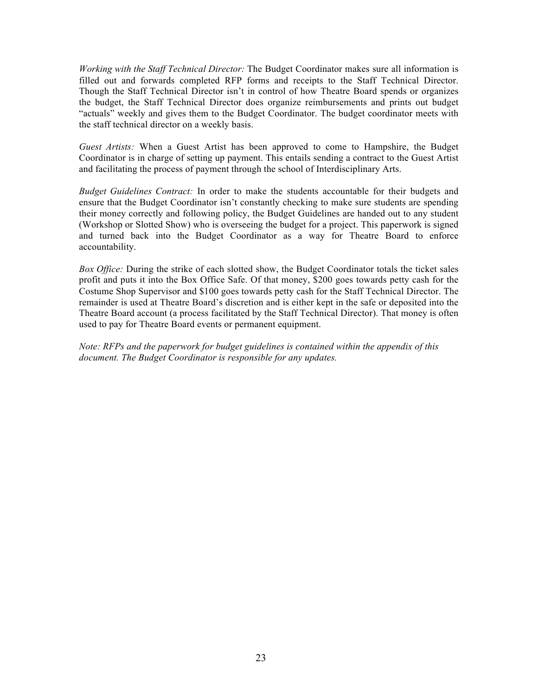*Working with the Staff Technical Director:* The Budget Coordinator makes sure all information is filled out and forwards completed RFP forms and receipts to the Staff Technical Director. Though the Staff Technical Director isn't in control of how Theatre Board spends or organizes the budget, the Staff Technical Director does organize reimbursements and prints out budget "actuals" weekly and gives them to the Budget Coordinator. The budget coordinator meets with the staff technical director on a weekly basis.

*Guest Artists:* When a Guest Artist has been approved to come to Hampshire, the Budget Coordinator is in charge of setting up payment. This entails sending a contract to the Guest Artist and facilitating the process of payment through the school of Interdisciplinary Arts.

*Budget Guidelines Contract:* In order to make the students accountable for their budgets and ensure that the Budget Coordinator isn't constantly checking to make sure students are spending their money correctly and following policy, the Budget Guidelines are handed out to any student (Workshop or Slotted Show) who is overseeing the budget for a project. This paperwork is signed and turned back into the Budget Coordinator as a way for Theatre Board to enforce accountability.

*Box Office:* During the strike of each slotted show, the Budget Coordinator totals the ticket sales profit and puts it into the Box Office Safe. Of that money, \$200 goes towards petty cash for the Costume Shop Supervisor and \$100 goes towards petty cash for the Staff Technical Director. The remainder is used at Theatre Board's discretion and is either kept in the safe or deposited into the Theatre Board account (a process facilitated by the Staff Technical Director). That money is often used to pay for Theatre Board events or permanent equipment.

*Note: RFPs and the paperwork for budget guidelines is contained within the appendix of this document. The Budget Coordinator is responsible for any updates.*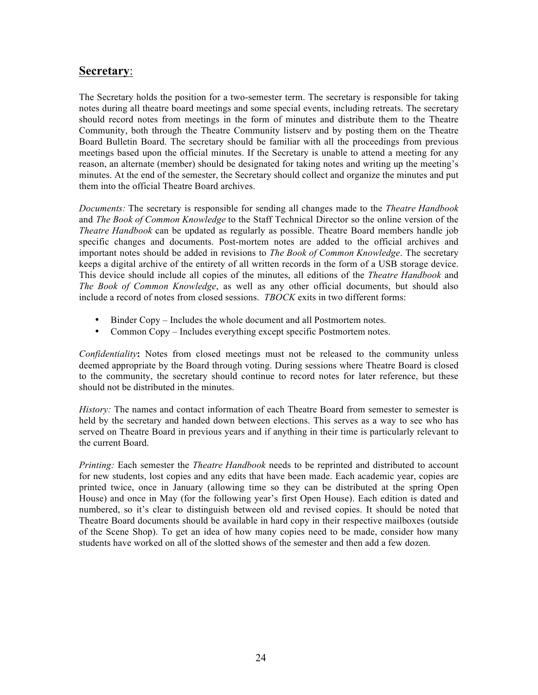### **Secretary**:

The Secretary holds the position for a two-semester term. The secretary is responsible for taking notes during all theatre board meetings and some special events, including retreats. The secretary should record notes from meetings in the form of minutes and distribute them to the Theatre Community, both through the Theatre Community listserv and by posting them on the Theatre Board Bulletin Board. The secretary should be familiar with all the proceedings from previous meetings based upon the official minutes. If the Secretary is unable to attend a meeting for any reason, an alternate (member) should be designated for taking notes and writing up the meeting's minutes. At the end of the semester, the Secretary should collect and organize the minutes and put them into the official Theatre Board archives.

*Documents:* The secretary is responsible for sending all changes made to the *Theatre Handbook* and *The Book of Common Knowledge* to the Staff Technical Director so the online version of the *Theatre Handbook* can be updated as regularly as possible. Theatre Board members handle job specific changes and documents. Post-mortem notes are added to the official archives and important notes should be added in revisions to *The Book of Common Knowledge*. The secretary keeps a digital archive of the entirety of all written records in the form of a USB storage device. This device should include all copies of the minutes, all editions of the *Theatre Handbook* and *The Book of Common Knowledge*, as well as any other official documents, but should also include a record of notes from closed sessions. *TBOCK* exits in two different forms:

- Binder Copy Includes the whole document and all Postmortem notes.
- Common Copy Includes everything except specific Postmortem notes.

*Confidentiality***:** Notes from closed meetings must not be released to the community unless deemed appropriate by the Board through voting. During sessions where Theatre Board is closed to the community, the secretary should continue to record notes for later reference, but these should not be distributed in the minutes.

*History:* The names and contact information of each Theatre Board from semester to semester is held by the secretary and handed down between elections. This serves as a way to see who has served on Theatre Board in previous years and if anything in their time is particularly relevant to the current Board.

*Printing:* Each semester the *Theatre Handbook* needs to be reprinted and distributed to account for new students, lost copies and any edits that have been made. Each academic year, copies are printed twice, once in January (allowing time so they can be distributed at the spring Open House) and once in May (for the following year's first Open House). Each edition is dated and numbered, so it's clear to distinguish between old and revised copies. It should be noted that Theatre Board documents should be available in hard copy in their respective mailboxes (outside of the Scene Shop). To get an idea of how many copies need to be made, consider how many students have worked on all of the slotted shows of the semester and then add a few dozen.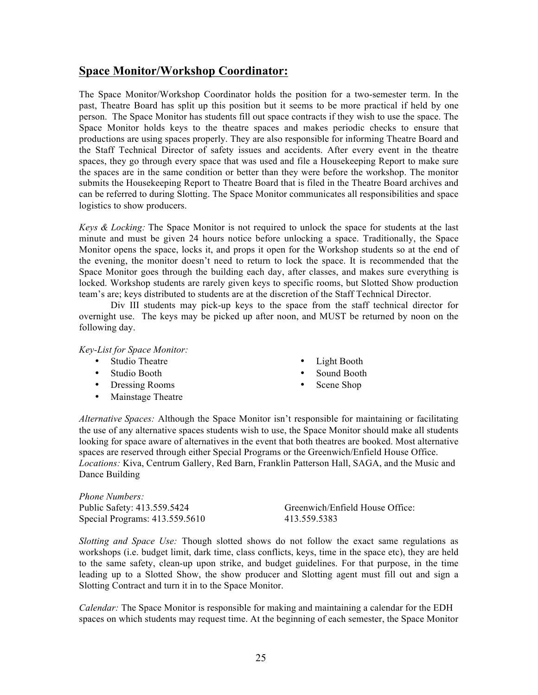### **Space Monitor/Workshop Coordinator:**

The Space Monitor/Workshop Coordinator holds the position for a two-semester term. In the past, Theatre Board has split up this position but it seems to be more practical if held by one person. The Space Monitor has students fill out space contracts if they wish to use the space. The Space Monitor holds keys to the theatre spaces and makes periodic checks to ensure that productions are using spaces properly. They are also responsible for informing Theatre Board and the Staff Technical Director of safety issues and accidents. After every event in the theatre spaces, they go through every space that was used and file a Housekeeping Report to make sure the spaces are in the same condition or better than they were before the workshop. The monitor submits the Housekeeping Report to Theatre Board that is filed in the Theatre Board archives and can be referred to during Slotting. The Space Monitor communicates all responsibilities and space logistics to show producers.

*Keys & Locking:* The Space Monitor is not required to unlock the space for students at the last minute and must be given 24 hours notice before unlocking a space. Traditionally, the Space Monitor opens the space, locks it, and props it open for the Workshop students so at the end of the evening, the monitor doesn't need to return to lock the space. It is recommended that the Space Monitor goes through the building each day, after classes, and makes sure everything is locked. Workshop students are rarely given keys to specific rooms, but Slotted Show production team's are; keys distributed to students are at the discretion of the Staff Technical Director.

Div III students may pick-up keys to the space from the staff technical director for overnight use. The keys may be picked up after noon, and MUST be returned by noon on the following day.

*Key-List for Space Monitor:*

- Studio Theatre
- Studio Booth
- Dressing Rooms
- Mainstage Theatre
- Light Booth
- Sound Booth
- Scene Shop

*Alternative Spaces:* Although the Space Monitor isn't responsible for maintaining or facilitating the use of any alternative spaces students wish to use, the Space Monitor should make all students looking for space aware of alternatives in the event that both theatres are booked. Most alternative spaces are reserved through either Special Programs or the Greenwich/Enfield House Office. *Locations:* Kiva, Centrum Gallery, Red Barn, Franklin Patterson Hall, SAGA, and the Music and Dance Building

*Phone Numbers:* Public Safety: 413.559.5424 Special Programs: 413.559.5610

Greenwich/Enfield House Office: 413.559.5383

*Slotting and Space Use:* Though slotted shows do not follow the exact same regulations as workshops (i.e. budget limit, dark time, class conflicts, keys, time in the space etc), they are held to the same safety, clean-up upon strike, and budget guidelines. For that purpose, in the time leading up to a Slotted Show, the show producer and Slotting agent must fill out and sign a Slotting Contract and turn it in to the Space Monitor.

*Calendar:* The Space Monitor is responsible for making and maintaining a calendar for the EDH spaces on which students may request time. At the beginning of each semester, the Space Monitor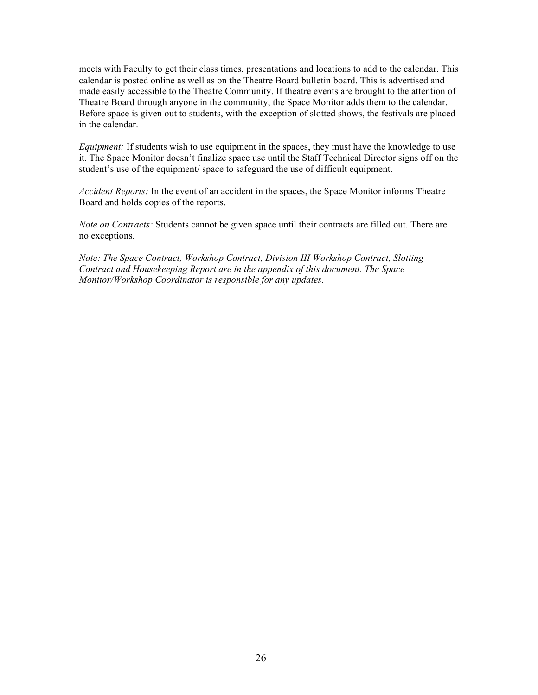meets with Faculty to get their class times, presentations and locations to add to the calendar. This calendar is posted online as well as on the Theatre Board bulletin board. This is advertised and made easily accessible to the Theatre Community. If theatre events are brought to the attention of Theatre Board through anyone in the community, the Space Monitor adds them to the calendar. Before space is given out to students, with the exception of slotted shows, the festivals are placed in the calendar.

*Equipment:* If students wish to use equipment in the spaces, they must have the knowledge to use it. The Space Monitor doesn't finalize space use until the Staff Technical Director signs off on the student's use of the equipment/ space to safeguard the use of difficult equipment.

*Accident Reports:* In the event of an accident in the spaces, the Space Monitor informs Theatre Board and holds copies of the reports.

*Note on Contracts:* Students cannot be given space until their contracts are filled out. There are no exceptions.

*Note: The Space Contract, Workshop Contract, Division III Workshop Contract, Slotting Contract and Housekeeping Report are in the appendix of this document. The Space Monitor/Workshop Coordinator is responsible for any updates.*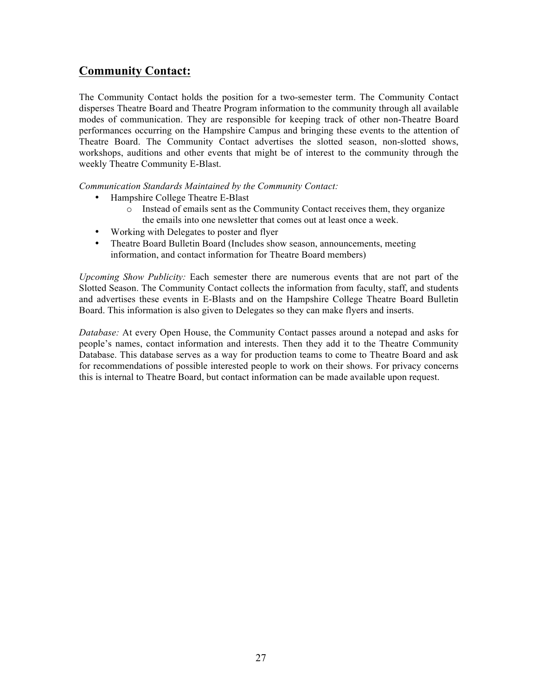### **Community Contact:**

The Community Contact holds the position for a two-semester term. The Community Contact disperses Theatre Board and Theatre Program information to the community through all available modes of communication. They are responsible for keeping track of other non-Theatre Board performances occurring on the Hampshire Campus and bringing these events to the attention of Theatre Board. The Community Contact advertises the slotted season, non-slotted shows, workshops, auditions and other events that might be of interest to the community through the weekly Theatre Community E-Blast.

*Communication Standards Maintained by the Community Contact:*

- Hampshire College Theatre E-Blast
	- o Instead of emails sent as the Community Contact receives them, they organize the emails into one newsletter that comes out at least once a week.
- Working with Delegates to poster and flyer
- Theatre Board Bulletin Board (Includes show season, announcements, meeting information, and contact information for Theatre Board members)

*Upcoming Show Publicity:* Each semester there are numerous events that are not part of the Slotted Season. The Community Contact collects the information from faculty, staff, and students and advertises these events in E-Blasts and on the Hampshire College Theatre Board Bulletin Board. This information is also given to Delegates so they can make flyers and inserts.

*Database:* At every Open House, the Community Contact passes around a notepad and asks for people's names, contact information and interests. Then they add it to the Theatre Community Database. This database serves as a way for production teams to come to Theatre Board and ask for recommendations of possible interested people to work on their shows. For privacy concerns this is internal to Theatre Board, but contact information can be made available upon request.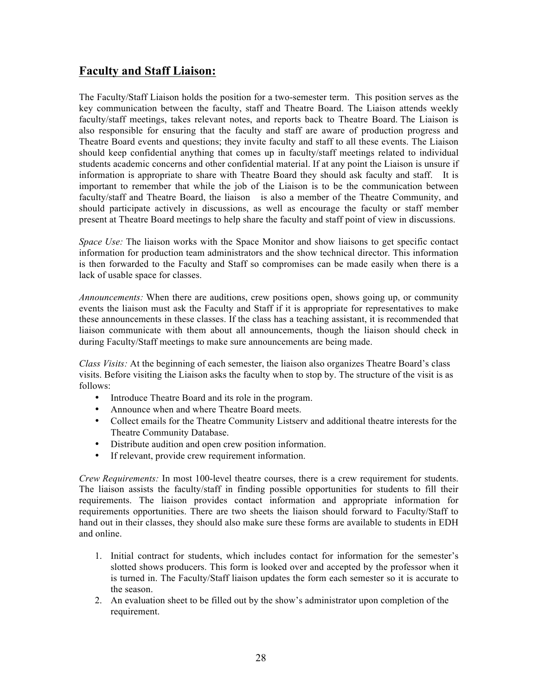### **Faculty and Staff Liaison:**

The Faculty/Staff Liaison holds the position for a two-semester term. This position serves as the key communication between the faculty, staff and Theatre Board. The Liaison attends weekly faculty/staff meetings, takes relevant notes, and reports back to Theatre Board. The Liaison is also responsible for ensuring that the faculty and staff are aware of production progress and Theatre Board events and questions; they invite faculty and staff to all these events. The Liaison should keep confidential anything that comes up in faculty/staff meetings related to individual students academic concerns and other confidential material. If at any point the Liaison is unsure if information is appropriate to share with Theatre Board they should ask faculty and staff. It is important to remember that while the job of the Liaison is to be the communication between faculty/staff and Theatre Board, the liaison is also a member of the Theatre Community, and should participate actively in discussions, as well as encourage the faculty or staff member present at Theatre Board meetings to help share the faculty and staff point of view in discussions.

*Space Use:* The liaison works with the Space Monitor and show liaisons to get specific contact information for production team administrators and the show technical director. This information is then forwarded to the Faculty and Staff so compromises can be made easily when there is a lack of usable space for classes.

*Announcements:* When there are auditions, crew positions open, shows going up, or community events the liaison must ask the Faculty and Staff if it is appropriate for representatives to make these announcements in these classes. If the class has a teaching assistant, it is recommended that liaison communicate with them about all announcements, though the liaison should check in during Faculty/Staff meetings to make sure announcements are being made.

*Class Visits:* At the beginning of each semester, the liaison also organizes Theatre Board's class visits. Before visiting the Liaison asks the faculty when to stop by. The structure of the visit is as follows:

- Introduce Theatre Board and its role in the program.
- Announce when and where Theatre Board meets.
- Collect emails for the Theatre Community Listserv and additional theatre interests for the Theatre Community Database.
- Distribute audition and open crew position information.
- If relevant, provide crew requirement information.

*Crew Requirements:* In most 100-level theatre courses, there is a crew requirement for students. The liaison assists the faculty/staff in finding possible opportunities for students to fill their requirements. The liaison provides contact information and appropriate information for requirements opportunities. There are two sheets the liaison should forward to Faculty/Staff to hand out in their classes, they should also make sure these forms are available to students in EDH and online.

- 1. Initial contract for students, which includes contact for information for the semester's slotted shows producers. This form is looked over and accepted by the professor when it is turned in. The Faculty/Staff liaison updates the form each semester so it is accurate to the season.
- 2. An evaluation sheet to be filled out by the show's administrator upon completion of the requirement.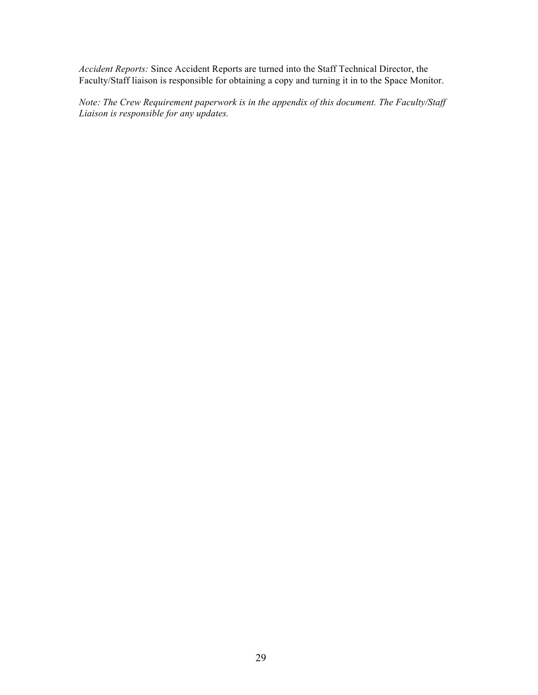*Accident Reports:* Since Accident Reports are turned into the Staff Technical Director, the Faculty/Staff liaison is responsible for obtaining a copy and turning it in to the Space Monitor.

*Note: The Crew Requirement paperwork is in the appendix of this document. The Faculty/Staff Liaison is responsible for any updates.*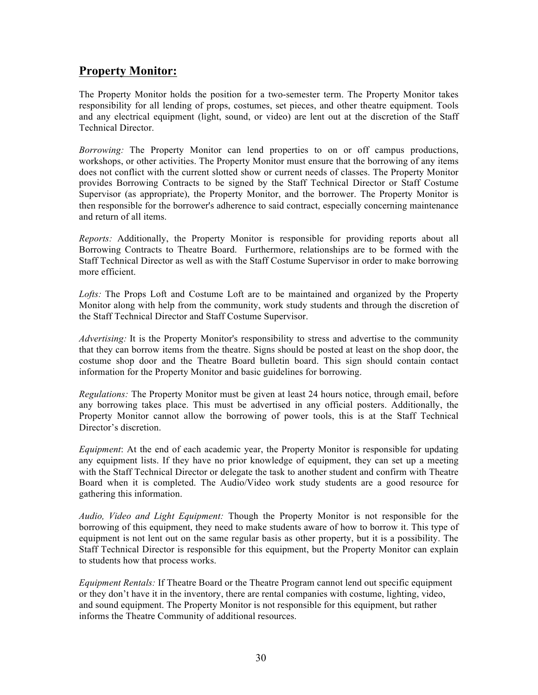### **Property Monitor:**

The Property Monitor holds the position for a two-semester term. The Property Monitor takes responsibility for all lending of props, costumes, set pieces, and other theatre equipment. Tools and any electrical equipment (light, sound, or video) are lent out at the discretion of the Staff Technical Director.

*Borrowing:* The Property Monitor can lend properties to on or off campus productions, workshops, or other activities. The Property Monitor must ensure that the borrowing of any items does not conflict with the current slotted show or current needs of classes. The Property Monitor provides Borrowing Contracts to be signed by the Staff Technical Director or Staff Costume Supervisor (as appropriate), the Property Monitor, and the borrower. The Property Monitor is then responsible for the borrower's adherence to said contract, especially concerning maintenance and return of all items.

*Reports:* Additionally, the Property Monitor is responsible for providing reports about all Borrowing Contracts to Theatre Board. Furthermore, relationships are to be formed with the Staff Technical Director as well as with the Staff Costume Supervisor in order to make borrowing more efficient.

*Lofts:* The Props Loft and Costume Loft are to be maintained and organized by the Property Monitor along with help from the community, work study students and through the discretion of the Staff Technical Director and Staff Costume Supervisor.

*Advertising:* It is the Property Monitor's responsibility to stress and advertise to the community that they can borrow items from the theatre. Signs should be posted at least on the shop door, the costume shop door and the Theatre Board bulletin board. This sign should contain contact information for the Property Monitor and basic guidelines for borrowing.

*Regulations:* The Property Monitor must be given at least 24 hours notice, through email, before any borrowing takes place. This must be advertised in any official posters. Additionally, the Property Monitor cannot allow the borrowing of power tools, this is at the Staff Technical Director's discretion.

*Equipment*: At the end of each academic year, the Property Monitor is responsible for updating any equipment lists. If they have no prior knowledge of equipment, they can set up a meeting with the Staff Technical Director or delegate the task to another student and confirm with Theatre Board when it is completed. The Audio/Video work study students are a good resource for gathering this information.

*Audio, Video and Light Equipment:* Though the Property Monitor is not responsible for the borrowing of this equipment, they need to make students aware of how to borrow it. This type of equipment is not lent out on the same regular basis as other property, but it is a possibility. The Staff Technical Director is responsible for this equipment, but the Property Monitor can explain to students how that process works.

*Equipment Rentals:* If Theatre Board or the Theatre Program cannot lend out specific equipment or they don't have it in the inventory, there are rental companies with costume, lighting, video, and sound equipment. The Property Monitor is not responsible for this equipment, but rather informs the Theatre Community of additional resources.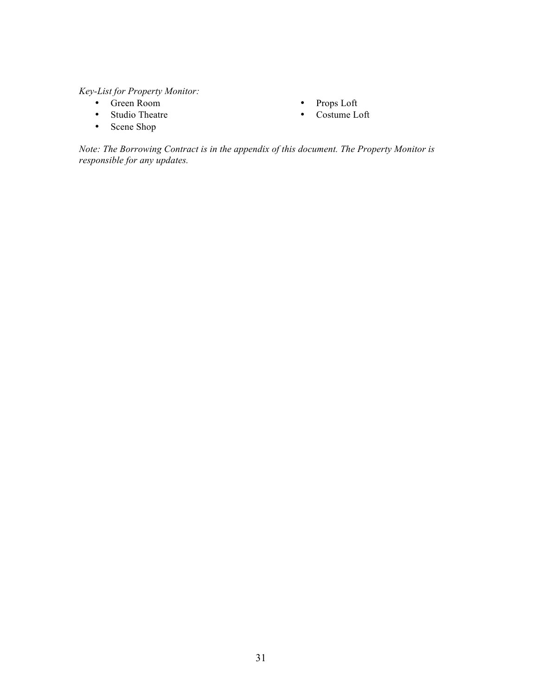*Key-List for Property Monitor:*

- Green Room
- Studio Theatre
- Props Loft
	- Costume Loft

• Scene Shop

*Note: The Borrowing Contract is in the appendix of this document. The Property Monitor is responsible for any updates.*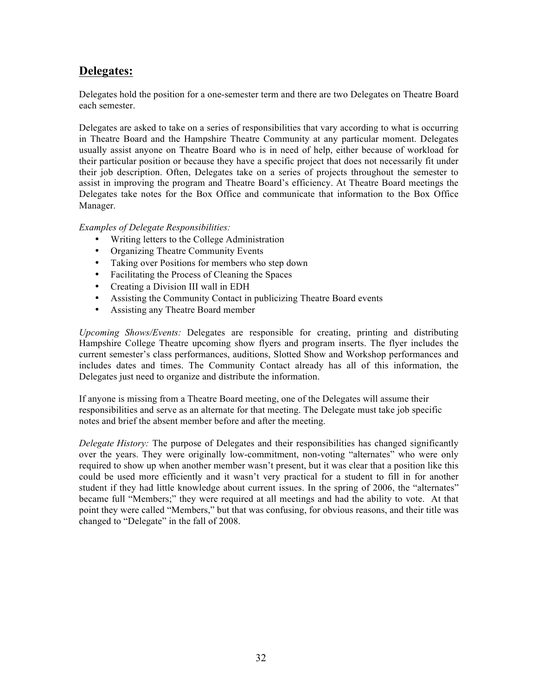### **Delegates:**

Delegates hold the position for a one-semester term and there are two Delegates on Theatre Board each semester.

Delegates are asked to take on a series of responsibilities that vary according to what is occurring in Theatre Board and the Hampshire Theatre Community at any particular moment. Delegates usually assist anyone on Theatre Board who is in need of help, either because of workload for their particular position or because they have a specific project that does not necessarily fit under their job description. Often, Delegates take on a series of projects throughout the semester to assist in improving the program and Theatre Board's efficiency. At Theatre Board meetings the Delegates take notes for the Box Office and communicate that information to the Box Office Manager.

#### *Examples of Delegate Responsibilities:*

- Writing letters to the College Administration
- Organizing Theatre Community Events
- Taking over Positions for members who step down
- Facilitating the Process of Cleaning the Spaces
- Creating a Division III wall in EDH
- Assisting the Community Contact in publicizing Theatre Board events
- Assisting any Theatre Board member

*Upcoming Shows/Events:* Delegates are responsible for creating, printing and distributing Hampshire College Theatre upcoming show flyers and program inserts. The flyer includes the current semester's class performances, auditions, Slotted Show and Workshop performances and includes dates and times. The Community Contact already has all of this information, the Delegates just need to organize and distribute the information.

If anyone is missing from a Theatre Board meeting, one of the Delegates will assume their responsibilities and serve as an alternate for that meeting. The Delegate must take job specific notes and brief the absent member before and after the meeting.

*Delegate History:* The purpose of Delegates and their responsibilities has changed significantly over the years. They were originally low-commitment, non-voting "alternates" who were only required to show up when another member wasn't present, but it was clear that a position like this could be used more efficiently and it wasn't very practical for a student to fill in for another student if they had little knowledge about current issues. In the spring of 2006, the "alternates" became full "Members;" they were required at all meetings and had the ability to vote. At that point they were called "Members," but that was confusing, for obvious reasons, and their title was changed to "Delegate" in the fall of 2008.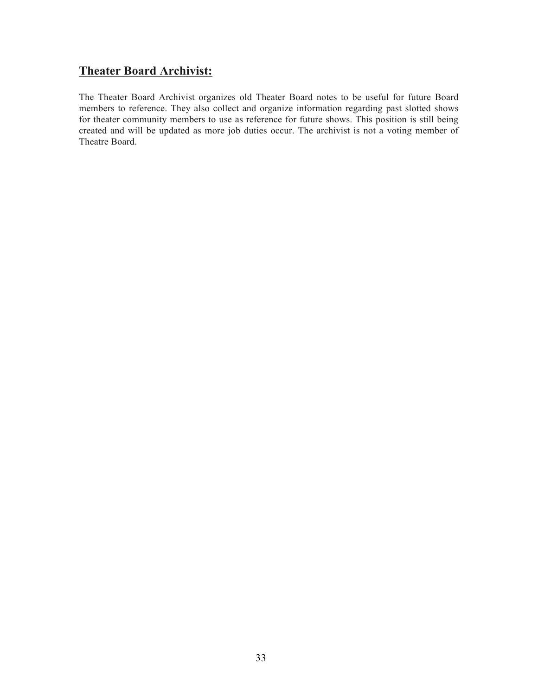### **Theater Board Archivist:**

The Theater Board Archivist organizes old Theater Board notes to be useful for future Board members to reference. They also collect and organize information regarding past slotted shows for theater community members to use as reference for future shows. This position is still being created and will be updated as more job duties occur. The archivist is not a voting member of Theatre Board.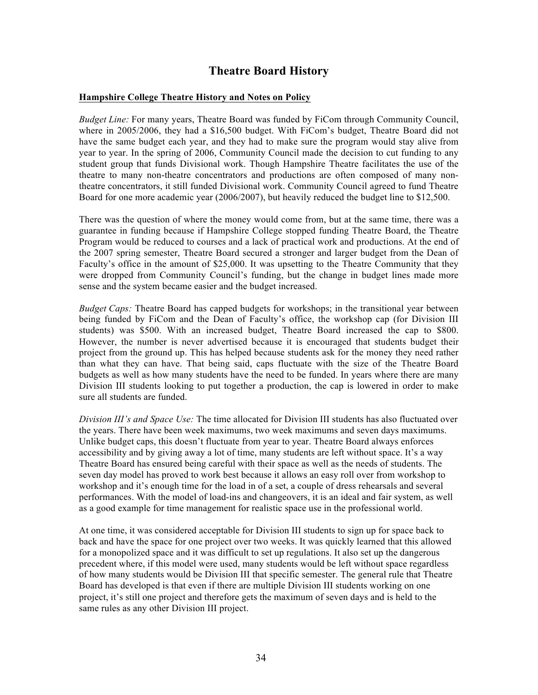### **Theatre Board History**

#### **Hampshire College Theatre History and Notes on Policy**

*Budget Line:* For many years, Theatre Board was funded by FiCom through Community Council, where in 2005/2006, they had a \$16,500 budget. With FiCom's budget, Theatre Board did not have the same budget each year, and they had to make sure the program would stay alive from year to year. In the spring of 2006, Community Council made the decision to cut funding to any student group that funds Divisional work. Though Hampshire Theatre facilitates the use of the theatre to many non-theatre concentrators and productions are often composed of many nontheatre concentrators, it still funded Divisional work. Community Council agreed to fund Theatre Board for one more academic year (2006/2007), but heavily reduced the budget line to \$12,500.

There was the question of where the money would come from, but at the same time, there was a guarantee in funding because if Hampshire College stopped funding Theatre Board, the Theatre Program would be reduced to courses and a lack of practical work and productions. At the end of the 2007 spring semester, Theatre Board secured a stronger and larger budget from the Dean of Faculty's office in the amount of \$25,000. It was upsetting to the Theatre Community that they were dropped from Community Council's funding, but the change in budget lines made more sense and the system became easier and the budget increased.

*Budget Caps:* Theatre Board has capped budgets for workshops; in the transitional year between being funded by FiCom and the Dean of Faculty's office, the workshop cap (for Division III students) was \$500. With an increased budget, Theatre Board increased the cap to \$800. However, the number is never advertised because it is encouraged that students budget their project from the ground up. This has helped because students ask for the money they need rather than what they can have. That being said, caps fluctuate with the size of the Theatre Board budgets as well as how many students have the need to be funded. In years where there are many Division III students looking to put together a production, the cap is lowered in order to make sure all students are funded.

*Division III's and Space Use:* The time allocated for Division III students has also fluctuated over the years. There have been week maximums, two week maximums and seven days maximums. Unlike budget caps, this doesn't fluctuate from year to year. Theatre Board always enforces accessibility and by giving away a lot of time, many students are left without space. It's a way Theatre Board has ensured being careful with their space as well as the needs of students. The seven day model has proved to work best because it allows an easy roll over from workshop to workshop and it's enough time for the load in of a set, a couple of dress rehearsals and several performances. With the model of load-ins and changeovers, it is an ideal and fair system, as well as a good example for time management for realistic space use in the professional world.

At one time, it was considered acceptable for Division III students to sign up for space back to back and have the space for one project over two weeks. It was quickly learned that this allowed for a monopolized space and it was difficult to set up regulations. It also set up the dangerous precedent where, if this model were used, many students would be left without space regardless of how many students would be Division III that specific semester. The general rule that Theatre Board has developed is that even if there are multiple Division III students working on one project, it's still one project and therefore gets the maximum of seven days and is held to the same rules as any other Division III project.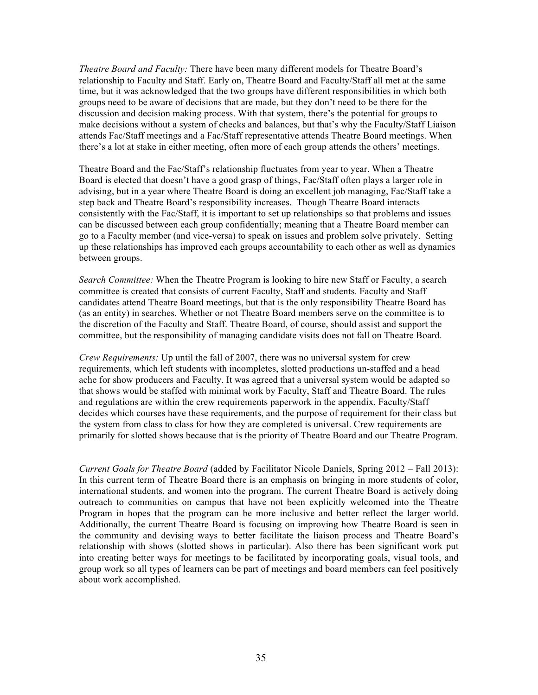*Theatre Board and Faculty:* There have been many different models for Theatre Board's relationship to Faculty and Staff. Early on, Theatre Board and Faculty/Staff all met at the same time, but it was acknowledged that the two groups have different responsibilities in which both groups need to be aware of decisions that are made, but they don't need to be there for the discussion and decision making process. With that system, there's the potential for groups to make decisions without a system of checks and balances, but that's why the Faculty/Staff Liaison attends Fac/Staff meetings and a Fac/Staff representative attends Theatre Board meetings. When there's a lot at stake in either meeting, often more of each group attends the others' meetings.

Theatre Board and the Fac/Staff's relationship fluctuates from year to year. When a Theatre Board is elected that doesn't have a good grasp of things, Fac/Staff often plays a larger role in advising, but in a year where Theatre Board is doing an excellent job managing, Fac/Staff take a step back and Theatre Board's responsibility increases. Though Theatre Board interacts consistently with the Fac/Staff, it is important to set up relationships so that problems and issues can be discussed between each group confidentially; meaning that a Theatre Board member can go to a Faculty member (and vice-versa) to speak on issues and problem solve privately. Setting up these relationships has improved each groups accountability to each other as well as dynamics between groups.

*Search Committee:* When the Theatre Program is looking to hire new Staff or Faculty, a search committee is created that consists of current Faculty, Staff and students. Faculty and Staff candidates attend Theatre Board meetings, but that is the only responsibility Theatre Board has (as an entity) in searches. Whether or not Theatre Board members serve on the committee is to the discretion of the Faculty and Staff. Theatre Board, of course, should assist and support the committee, but the responsibility of managing candidate visits does not fall on Theatre Board.

*Crew Requirements:* Up until the fall of 2007, there was no universal system for crew requirements, which left students with incompletes, slotted productions un-staffed and a head ache for show producers and Faculty. It was agreed that a universal system would be adapted so that shows would be staffed with minimal work by Faculty, Staff and Theatre Board. The rules and regulations are within the crew requirements paperwork in the appendix. Faculty/Staff decides which courses have these requirements, and the purpose of requirement for their class but the system from class to class for how they are completed is universal. Crew requirements are primarily for slotted shows because that is the priority of Theatre Board and our Theatre Program.

*Current Goals for Theatre Board* (added by Facilitator Nicole Daniels, Spring 2012 – Fall 2013): In this current term of Theatre Board there is an emphasis on bringing in more students of color, international students, and women into the program. The current Theatre Board is actively doing outreach to communities on campus that have not been explicitly welcomed into the Theatre Program in hopes that the program can be more inclusive and better reflect the larger world. Additionally, the current Theatre Board is focusing on improving how Theatre Board is seen in the community and devising ways to better facilitate the liaison process and Theatre Board's relationship with shows (slotted shows in particular). Also there has been significant work put into creating better ways for meetings to be facilitated by incorporating goals, visual tools, and group work so all types of learners can be part of meetings and board members can feel positively about work accomplished.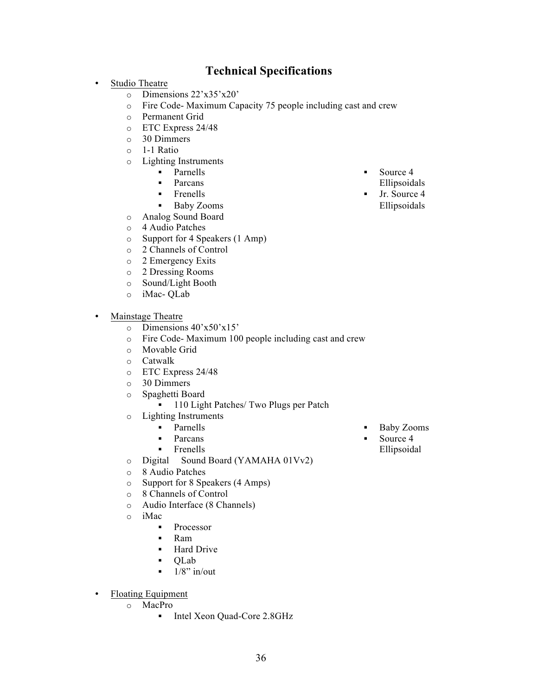### **Technical Specifications**

- Studio Theatre
	- o Dimensions 22'x35'x20'
	- o Fire Code- Maximum Capacity 75 people including cast and crew
	- o Permanent Grid
	- o ETC Express 24/48
	- o 30 Dimmers
	- o 1-1 Ratio
	- o Lighting Instruments
		- § Parnells
		- § Parcans
		- § Frenells
		- § Baby Zooms
	- o Analog Sound Board
	- o 4 Audio Patches
	- o Support for 4 Speakers (1 Amp)
	- o 2 Channels of Control
	- o 2 Emergency Exits
	- o 2 Dressing Rooms
	- o Sound/Light Booth
	- o iMac- QLab
- Mainstage Theatre
	- o Dimensions 40'x50'x15'
	- o Fire Code- Maximum 100 people including cast and crew
	- o Movable Grid
	- o Catwalk
	- o ETC Express 24/48
	- o 30 Dimmers
	- o Spaghetti Board
		- 110 Light Patches/ Two Plugs per Patch
	- o Lighting Instruments
		- § Parnells
		- § Parcans
		- § Frenells
	- o Digital Sound Board (YAMAHA 01Vv2)
	- o 8 Audio Patches
	- o Support for 8 Speakers (4 Amps)
	- o 8 Channels of Control
	- o Audio Interface (8 Channels)
	- o iMac
		- Processor
		- § Ram
		- § Hard Drive
		- § QLab
		- $\blacksquare$  1/8" in/out
- Floating Equipment
	- o MacPro
		- Intel Xeon Quad-Core 2.8GHz
- § Baby Zooms
	- § Source 4 Ellipsoidal
- Ellipsoidals
- § Jr. Source 4 Ellipsoidals
- Source 4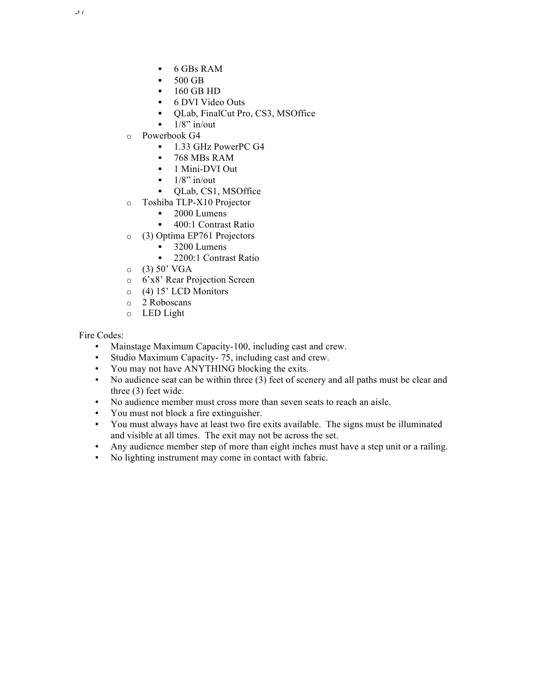- § 6 GBs RAM
- § 500 GB
- § 160 GB HD
- § 6 DVI Video Outs
- § QLab, FinalCut Pro, CS3, MSOffice
- $\blacksquare$  1/8" in/out
- o Powerbook G4
	- § 1.33 GHz PowerPC G4
	- § 768 MBs RAM
	- § 1 Mini-DVI Out
	- $\blacksquare$  1/8" in/out
	- QLab, CS1, MSOffice
- o Toshiba TLP-X10 Projector
	- 2000 Lumens
	- 400:1 Contrast Ratio
- o (3) Optima EP761 Projectors
	- § 3200 Lumens
	- 2200:1 Contrast Ratio
- $O(3) 50' VGA$
- o 6'x8' Rear Projection Screen
- o (4) 15' LCD Monitors
- o 2 Roboscans
- o LED Light

Fire Codes:

- Mainstage Maximum Capacity-100, including cast and crew.
- Studio Maximum Capacity- 75, including cast and crew.
- You may not have ANYTHING blocking the exits.
- No audience seat can be within three (3) feet of scenery and all paths must be clear and three (3) feet wide.
- No audience member must cross more than seven seats to reach an aisle.
- You must not block a fire extinguisher.
- You must always have at least two fire exits available. The signs must be illuminated and visible at all times. The exit may not be across the set.
- Any audience member step of more than eight inches must have a step unit or a railing.
- No lighting instrument may come in contact with fabric.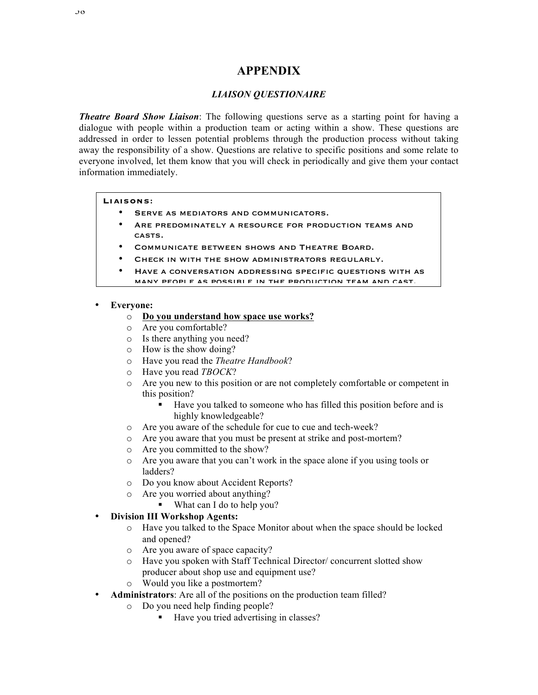### **APPENDIX**

#### *LIAISON QUESTIONAIRE*

*Theatre Board Show Liaison*: The following questions serve as a starting point for having a dialogue with people within a production team or acting within a show. These questions are addressed in order to lessen potential problems through the production process without taking away the responsibility of a show. Questions are relative to specific positions and some relate to everyone involved, let them know that you will check in periodically and give them your contact information immediately.

#### **Liaisons**:

- SERVE AS MEDIATORS AND COMMUNICATORS.
- ARE PREDOMINATELY A RESOURCE FOR PRODUCTION TEAMS AND casts.
- COMMUNICATE BETWEEN SHOWS AND THEATRE BOARD.
- CHECK IN WITH THE SHOW ADMINISTRATORS REGULARLY.
- Have a conversation addressing specific questions with as many people as possible in the production team and cast.

#### • **Everyone:**

- o **Do you understand how space use works?**
- o Are you comfortable?
- o Is there anything you need?
- o How is the show doing?
- o Have you read the *Theatre Handbook*?
- o Have you read *TBOCK*?
- o Are you new to this position or are not completely comfortable or competent in this position?
	- Have you talked to someone who has filled this position before and is highly knowledgeable?
- o Are you aware of the schedule for cue to cue and tech-week?
- o Are you aware that you must be present at strike and post-mortem?
- o Are you committed to the show?
- o Are you aware that you can't work in the space alone if you using tools or ladders?
- o Do you know about Accident Reports?
- o Are you worried about anything?
	- What can I do to help you?

### • **Division III Workshop Agents:**

- o Have you talked to the Space Monitor about when the space should be locked and opened?
- o Are you aware of space capacity?
- o Have you spoken with Staff Technical Director/ concurrent slotted show producer about shop use and equipment use?
- Would you like a postmortem?
- **Administrators**: Are all of the positions on the production team filled?
	- o Do you need help finding people?
		- Have you tried advertising in classes?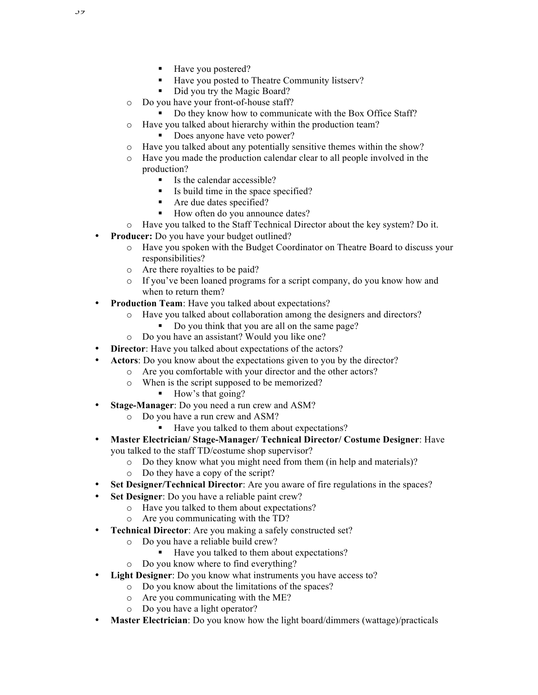- Have you postered?
- § Have you posted to Theatre Community listserv?
- Did you try the Magic Board?
- o Do you have your front-of-house staff?
	- Do they know how to communicate with the Box Office Staff?
- o Have you talked about hierarchy within the production team?
	- Does anyone have veto power?
- o Have you talked about any potentially sensitive themes within the show?
- o Have you made the production calendar clear to all people involved in the production?
	- Is the calendar accessible?
	- § Is build time in the space specified?
	- Are due dates specified?
	- § How often do you announce dates?
- o Have you talked to the Staff Technical Director about the key system? Do it.
- **Producer:** Do you have your budget outlined?
	- o Have you spoken with the Budget Coordinator on Theatre Board to discuss your responsibilities?
	- o Are there royalties to be paid?
	- o If you've been loaned programs for a script company, do you know how and when to return them?
- **Production Team**: Have you talked about expectations?
	- o Have you talked about collaboration among the designers and directors?
		- Do you think that you are all on the same page?
	- o Do you have an assistant? Would you like one?
- **Director**: Have you talked about expectations of the actors?
- **Actors**: Do you know about the expectations given to you by the director?
	- o Are you comfortable with your director and the other actors?
		- o When is the script supposed to be memorized?
			- § How's that going?
- **Stage-Manager**: Do you need a run crew and ASM?
	- o Do you have a run crew and ASM?
		- Have you talked to them about expectations?
- **Master Electrician/ Stage-Manager/ Technical Director/ Costume Designer**: Have you talked to the staff TD/costume shop supervisor?
	- o Do they know what you might need from them (in help and materials)?
	- o Do they have a copy of the script?
- **Set Designer/Technical Director**: Are you aware of fire regulations in the spaces?
- **Set Designer**: Do you have a reliable paint crew?
	- o Have you talked to them about expectations?
	- o Are you communicating with the TD?
- **Technical Director**: Are you making a safely constructed set?
	- o Do you have a reliable build crew?
		- Have you talked to them about expectations?
	- o Do you know where to find everything?
	- **Light Designer**: Do you know what instruments you have access to?
		- o Do you know about the limitations of the spaces?
		- o Are you communicating with the ME?
		- o Do you have a light operator?
- **Master Electrician**: Do you know how the light board/dimmers (wattage)/practicals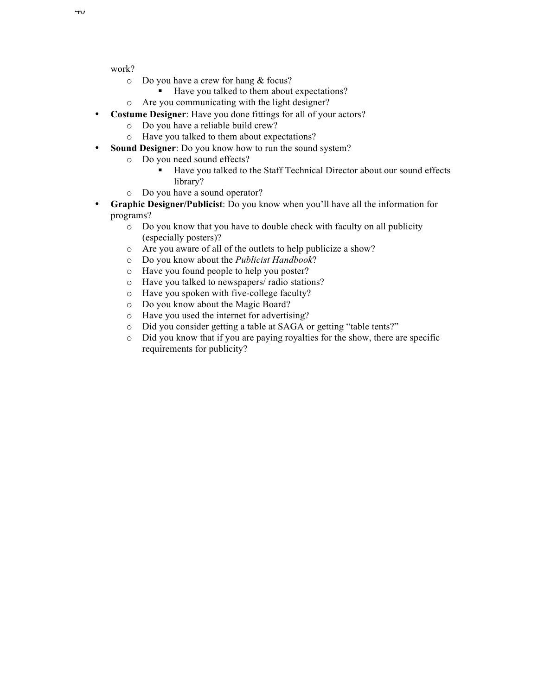work?

- o Do you have a crew for hang & focus?
	- Have you talked to them about expectations?
- o Are you communicating with the light designer?
- **Costume Designer**: Have you done fittings for all of your actors?
	- o Do you have a reliable build crew?
	- o Have you talked to them about expectations?
- **Sound Designer**: Do you know how to run the sound system?
	- o Do you need sound effects?
		- Have you talked to the Staff Technical Director about our sound effects library?
	- o Do you have a sound operator?
- **Graphic Designer/Publicist**: Do you know when you'll have all the information for programs?
	- o Do you know that you have to double check with faculty on all publicity (especially posters)?
	- o Are you aware of all of the outlets to help publicize a show?
	- o Do you know about the *Publicist Handbook*?
	- o Have you found people to help you poster?
	- o Have you talked to newspapers/ radio stations?
	- o Have you spoken with five-college faculty?
	- o Do you know about the Magic Board?
	- o Have you used the internet for advertising?
	- o Did you consider getting a table at SAGA or getting "table tents?"
	- o Did you know that if you are paying royalties for the show, there are specific requirements for publicity?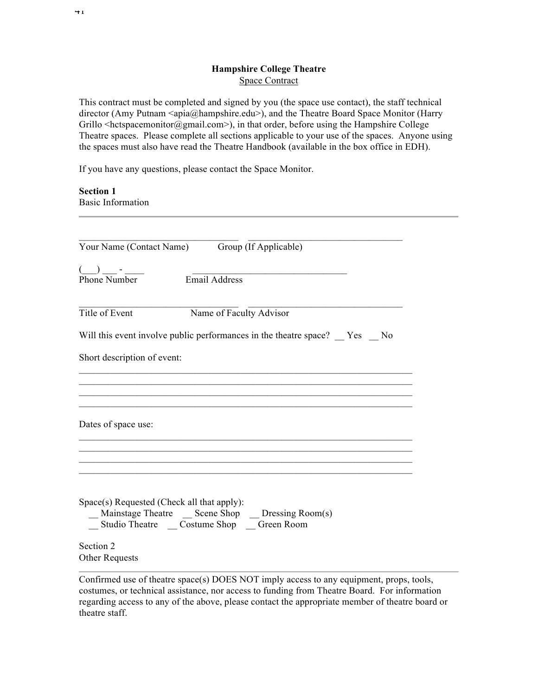#### **Hampshire College Theatre** Space Contract

This contract must be completed and signed by you (the space use contact), the staff technical director (Amy Putnam <apia@hampshire.edu>), and the Theatre Board Space Monitor (Harry Grillo <hetspacemonitor@gmail.com>), in that order, before using the Hampshire College Theatre spaces. Please complete all sections applicable to your use of the spaces. Anyone using the spaces must also have read the Theatre Handbook (available in the box office in EDH).

If you have any questions, please contact the Space Monitor.

**Section 1** Basic Information

|                                               | Your Name (Contact Name) Group (If Applicable)                                                   |
|-----------------------------------------------|--------------------------------------------------------------------------------------------------|
| $\bigcup$ $\qquad$ - $\qquad$<br>Phone Number | Email Address                                                                                    |
|                                               |                                                                                                  |
| Title of Event                                | Name of Faculty Advisor                                                                          |
|                                               | Will this event involve public performances in the theatre space? Yes No                         |
| Short description of event:                   |                                                                                                  |
|                                               |                                                                                                  |
|                                               |                                                                                                  |
| Dates of space use:                           |                                                                                                  |
|                                               |                                                                                                  |
|                                               |                                                                                                  |
|                                               |                                                                                                  |
|                                               | Space(s) Requested (Check all that apply):<br>_Mainstage Theatre _ Scene Shop _ Dressing Room(s) |
|                                               | _ Studio Theatre _ Costume Shop _ Green Room                                                     |
| Section 2                                     |                                                                                                  |
| Other Requests                                |                                                                                                  |

Confirmed use of theatre space(s) DOES NOT imply access to any equipment, props, tools, costumes, or technical assistance, nor access to funding from Theatre Board. For information regarding access to any of the above, please contact the appropriate member of theatre board or theatre staff.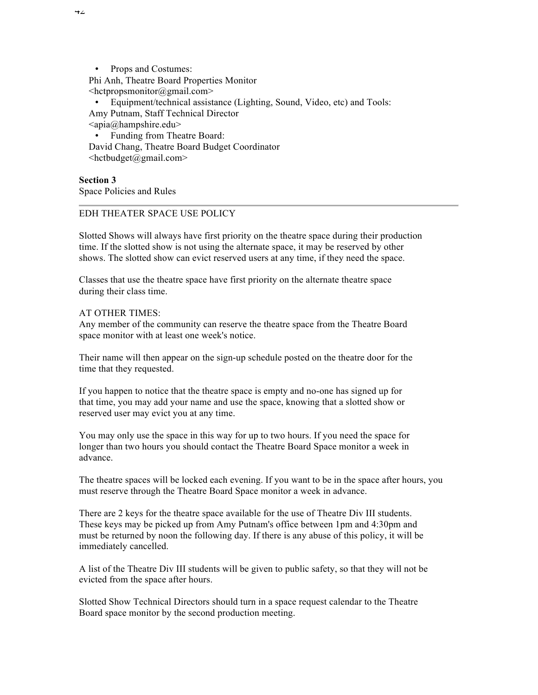• Props and Costumes: Phi Anh, Theatre Board Properties Monitor  $\leq$ hctpropsmonitor@gmail.com $>$ 

• Equipment/technical assistance (Lighting, Sound, Video, etc) and Tools: Amy Putnam, Staff Technical Director  $\langle$ apia@hampshire.edu>

• Funding from Theatre Board: David Chang, Theatre Board Budget Coordinator  $\langle \text{hctbudeet}(\hat{\omega})$ gmail.com $\rangle$ 

**Section 3** Space Policies and Rules

#### EDH THEATER SPACE USE POLICY

Slotted Shows will always have first priority on the theatre space during their production time. If the slotted show is not using the alternate space, it may be reserved by other shows. The slotted show can evict reserved users at any time, if they need the space.

Classes that use the theatre space have first priority on the alternate theatre space during their class time.

#### AT OTHER TIMES:

Any member of the community can reserve the theatre space from the Theatre Board space monitor with at least one week's notice.

Their name will then appear on the sign-up schedule posted on the theatre door for the time that they requested.

If you happen to notice that the theatre space is empty and no-one has signed up for that time, you may add your name and use the space, knowing that a slotted show or reserved user may evict you at any time.

You may only use the space in this way for up to two hours. If you need the space for longer than two hours you should contact the Theatre Board Space monitor a week in advance.

The theatre spaces will be locked each evening. If you want to be in the space after hours, you must reserve through the Theatre Board Space monitor a week in advance.

There are 2 keys for the theatre space available for the use of Theatre Div III students. These keys may be picked up from Amy Putnam's office between 1pm and 4:30pm and must be returned by noon the following day. If there is any abuse of this policy, it will be immediately cancelled.

A list of the Theatre Div III students will be given to public safety, so that they will not be evicted from the space after hours.

Slotted Show Technical Directors should turn in a space request calendar to the Theatre Board space monitor by the second production meeting.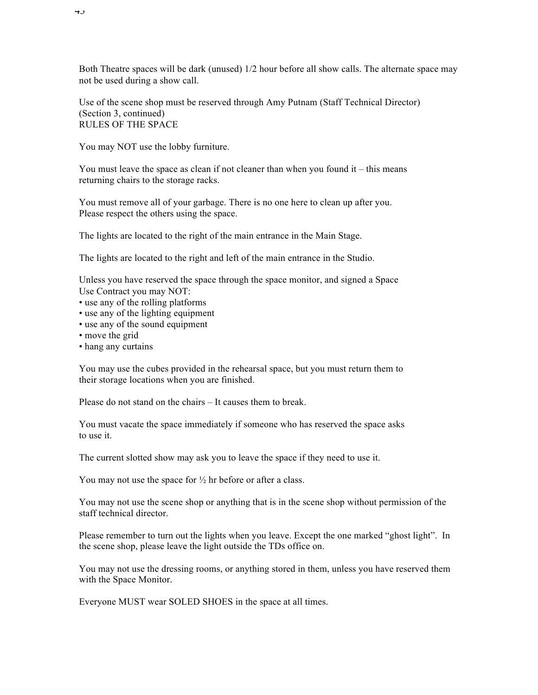Both Theatre spaces will be dark (unused) 1/2 hour before all show calls. The alternate space may not be used during a show call.

Use of the scene shop must be reserved through Amy Putnam (Staff Technical Director) (Section 3, continued) RULES OF THE SPACE

You may NOT use the lobby furniture.

You must leave the space as clean if not cleaner than when you found  $it - this$  means returning chairs to the storage racks.

You must remove all of your garbage. There is no one here to clean up after you. Please respect the others using the space.

The lights are located to the right of the main entrance in the Main Stage.

The lights are located to the right and left of the main entrance in the Studio.

Unless you have reserved the space through the space monitor, and signed a Space Use Contract you may NOT:

- use any of the rolling platforms
- use any of the lighting equipment
- use any of the sound equipment
- move the grid
- hang any curtains

You may use the cubes provided in the rehearsal space, but you must return them to their storage locations when you are finished.

Please do not stand on the chairs – It causes them to break.

You must vacate the space immediately if someone who has reserved the space asks to use it.

The current slotted show may ask you to leave the space if they need to use it.

You may not use the space for  $\frac{1}{2}$  hr before or after a class.

You may not use the scene shop or anything that is in the scene shop without permission of the staff technical director.

Please remember to turn out the lights when you leave. Except the one marked "ghost light". In the scene shop, please leave the light outside the TDs office on.

You may not use the dressing rooms, or anything stored in them, unless you have reserved them with the Space Monitor.

Everyone MUST wear SOLED SHOES in the space at all times.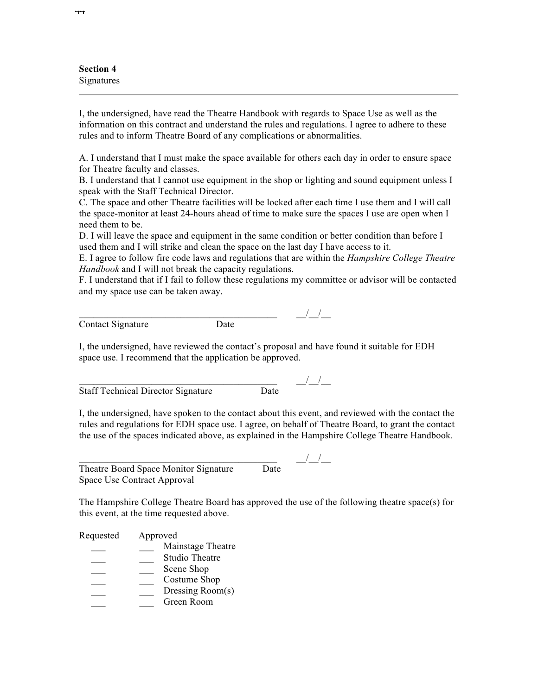**Section 4** Signatures

I, the undersigned, have read the Theatre Handbook with regards to Space Use as well as the information on this contract and understand the rules and regulations. I agree to adhere to these rules and to inform Theatre Board of any complications or abnormalities.

A. I understand that I must make the space available for others each day in order to ensure space for Theatre faculty and classes.

B. I understand that I cannot use equipment in the shop or lighting and sound equipment unless I speak with the Staff Technical Director.

C. The space and other Theatre facilities will be locked after each time I use them and I will call the space-monitor at least 24-hours ahead of time to make sure the spaces I use are open when I need them to be.

D. I will leave the space and equipment in the same condition or better condition than before I used them and I will strike and clean the space on the last day I have access to it.

E. I agree to follow fire code laws and regulations that are within the *Hampshire College Theatre Handbook* and I will not break the capacity regulations.

F. I understand that if I fail to follow these regulations my committee or advisor will be contacted and my space use can be taken away.

| Contact Signature | l Iafe |  |
|-------------------|--------|--|

I, the undersigned, have reviewed the contact's proposal and have found it suitable for EDH space use. I recommend that the application be approved.

Staff Technical Director Signature Date

 $\frac{1}{2}$   $\frac{1}{2}$   $\frac{1}{2}$   $\frac{1}{2}$   $\frac{1}{2}$   $\frac{1}{2}$   $\frac{1}{2}$   $\frac{1}{2}$   $\frac{1}{2}$   $\frac{1}{2}$   $\frac{1}{2}$   $\frac{1}{2}$   $\frac{1}{2}$   $\frac{1}{2}$   $\frac{1}{2}$   $\frac{1}{2}$   $\frac{1}{2}$   $\frac{1}{2}$   $\frac{1}{2}$   $\frac{1}{2}$   $\frac{1}{2}$   $\frac{1}{2}$ 

I, the undersigned, have spoken to the contact about this event, and reviewed with the contact the rules and regulations for EDH space use. I agree, on behalf of Theatre Board, to grant the contact the use of the spaces indicated above, as explained in the Hampshire College Theatre Handbook.

Theatre Board Space Monitor Signature Date Space Use Contract Approval

 $\frac{1}{1-\frac{1}{2}}$   $\frac{1}{1-\frac{1}{2}}$ 

The Hampshire College Theatre Board has approved the use of the following theatre space(s) for this event, at the time requested above.

| Requested | Approved              |  |
|-----------|-----------------------|--|
|           | Mainstage Theatre     |  |
|           | <b>Studio Theatre</b> |  |
|           | Scene Shop            |  |
|           | Costume Shop          |  |
|           | Dressing Room(s)      |  |
|           | Green Room            |  |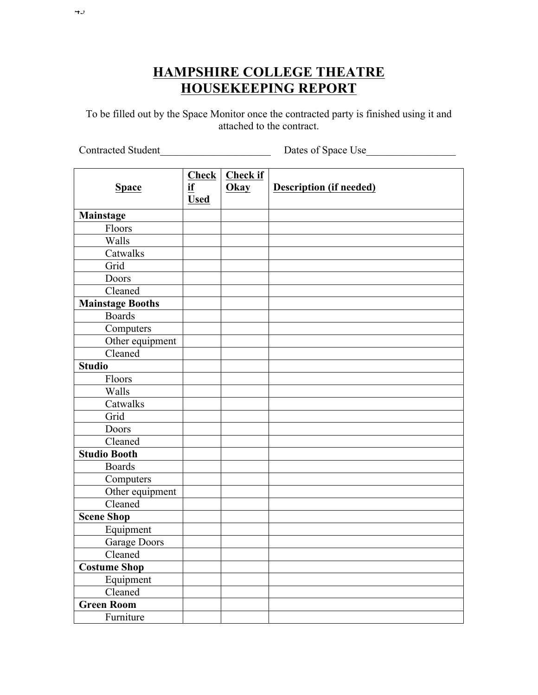# **HAMPSHIRE COLLEGE THEATRE HOUSEKEEPING REPORT**

To be filled out by the Space Monitor once the contracted party is finished using it and attached to the contract.

Contracted Student\_\_\_\_\_\_\_\_\_\_\_\_\_\_\_\_\_\_\_\_\_ Dates of Space Use\_\_\_\_\_\_\_\_\_\_\_\_\_\_\_\_\_

|                     | <b>Check</b> | <b>Check if</b> |                                |
|---------------------|--------------|-----------------|--------------------------------|
| <b>Space</b>        | if           | Okay            | <b>Description (if needed)</b> |
|                     | <b>Used</b>  |                 |                                |
| Mainstage           |              |                 |                                |
| Floors              |              |                 |                                |
| Walls               |              |                 |                                |
| Catwalks            |              |                 |                                |
| Grid                |              |                 |                                |
| Doors               |              |                 |                                |
| Cleaned             |              |                 |                                |
| Mainstage Booths    |              |                 |                                |
| <b>Boards</b>       |              |                 |                                |
| Computers           |              |                 |                                |
| Other equipment     |              |                 |                                |
| Cleaned             |              |                 |                                |
| <b>Studio</b>       |              |                 |                                |
| Floors              |              |                 |                                |
| Walls               |              |                 |                                |
| Catwalks            |              |                 |                                |
| Grid                |              |                 |                                |
| Doors               |              |                 |                                |
| Cleaned             |              |                 |                                |
| <b>Studio Booth</b> |              |                 |                                |
| <b>Boards</b>       |              |                 |                                |
| Computers           |              |                 |                                |
| Other equipment     |              |                 |                                |
| Cleaned             |              |                 |                                |
| <b>Scene Shop</b>   |              |                 |                                |
| Equipment           |              |                 |                                |
| <b>Garage Doors</b> |              |                 |                                |
| Cleaned             |              |                 |                                |
| <b>Costume Shop</b> |              |                 |                                |
| Equipment           |              |                 |                                |
| Cleaned             |              |                 |                                |
| <b>Green Room</b>   |              |                 |                                |
| Furniture           |              |                 |                                |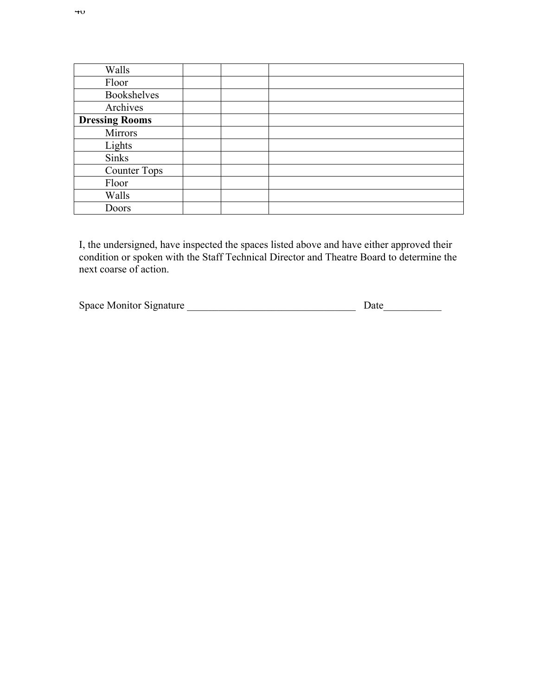| Walls                 |  |
|-----------------------|--|
| Floor                 |  |
| <b>Bookshelves</b>    |  |
| Archives              |  |
| <b>Dressing Rooms</b> |  |
| Mirrors               |  |
| Lights                |  |
| <b>Sinks</b>          |  |
| <b>Counter Tops</b>   |  |
| Floor                 |  |
| Walls                 |  |
| Doors                 |  |

I, the undersigned, have inspected the spaces listed above and have either approved their condition or spoken with the Staff Technical Director and Theatre Board to determine the next coarse of action.

| <b>Space Monitor Signature</b> |  |
|--------------------------------|--|
|--------------------------------|--|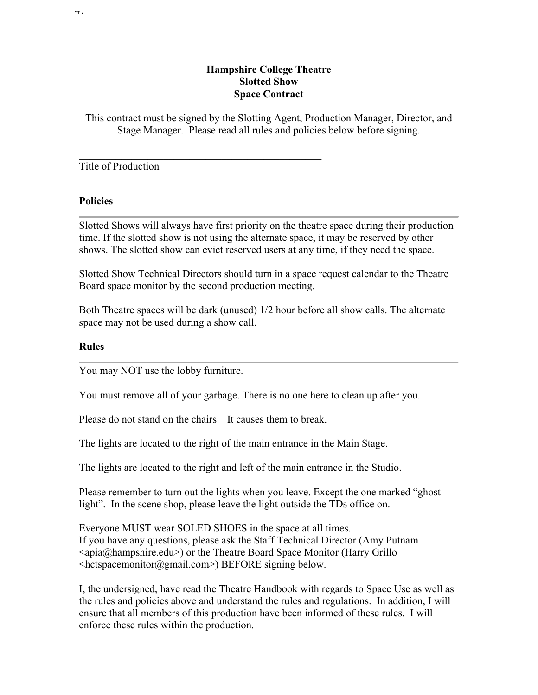### **Hampshire College Theatre Slotted Show Space Contract**

This contract must be signed by the Slotting Agent, Production Manager, Director, and Stage Manager. Please read all rules and policies below before signing.

### Title of Production

### **Policies**

Slotted Shows will always have first priority on the theatre space during their production time. If the slotted show is not using the alternate space, it may be reserved by other shows. The slotted show can evict reserved users at any time, if they need the space.

Slotted Show Technical Directors should turn in a space request calendar to the Theatre Board space monitor by the second production meeting.

Both Theatre spaces will be dark (unused) 1/2 hour before all show calls. The alternate space may not be used during a show call.

#### **Rules**

You may NOT use the lobby furniture.

You must remove all of your garbage. There is no one here to clean up after you.

Please do not stand on the chairs – It causes them to break.

 $\mathcal{L}_\text{max}$  and  $\mathcal{L}_\text{max}$  and  $\mathcal{L}_\text{max}$  and  $\mathcal{L}_\text{max}$  and  $\mathcal{L}_\text{max}$ 

The lights are located to the right of the main entrance in the Main Stage.

The lights are located to the right and left of the main entrance in the Studio.

Please remember to turn out the lights when you leave. Except the one marked "ghost light". In the scene shop, please leave the light outside the TDs office on.

Everyone MUST wear SOLED SHOES in the space at all times. If you have any questions, please ask the Staff Technical Director (Amy Putnam  $\langle \text{apia}(\hat{\mathbf{\omega}})$  ampshire.edu>) or the Theatre Board Space Monitor (Harry Grillo <hctspacemonitor@gmail.com>) BEFORE signing below.

I, the undersigned, have read the Theatre Handbook with regards to Space Use as well as the rules and policies above and understand the rules and regulations. In addition, I will ensure that all members of this production have been informed of these rules. I will enforce these rules within the production.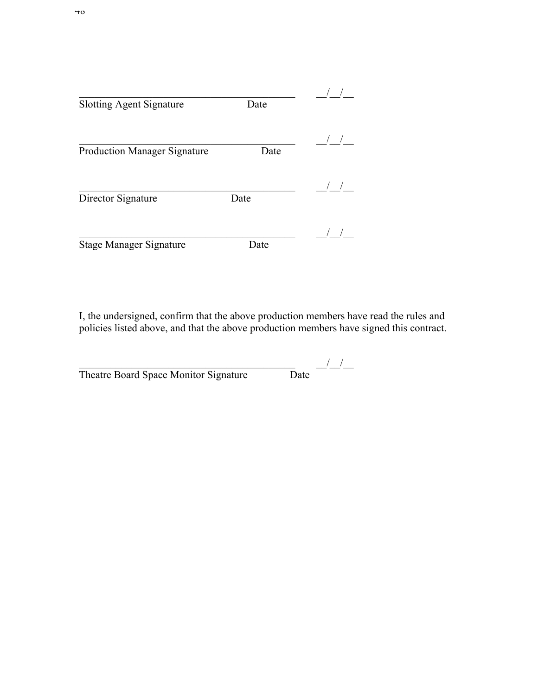| <b>Slotting Agent Signature</b>     | Date |  |
|-------------------------------------|------|--|
| <b>Production Manager Signature</b> | Date |  |
| Director Signature                  | Date |  |
| <b>Stage Manager Signature</b>      | Date |  |

I, the undersigned, confirm that the above production members have read the rules and policies listed above, and that the above production members have signed this contract.

| Theatre Board Space Monitor Signature | Date |
|---------------------------------------|------|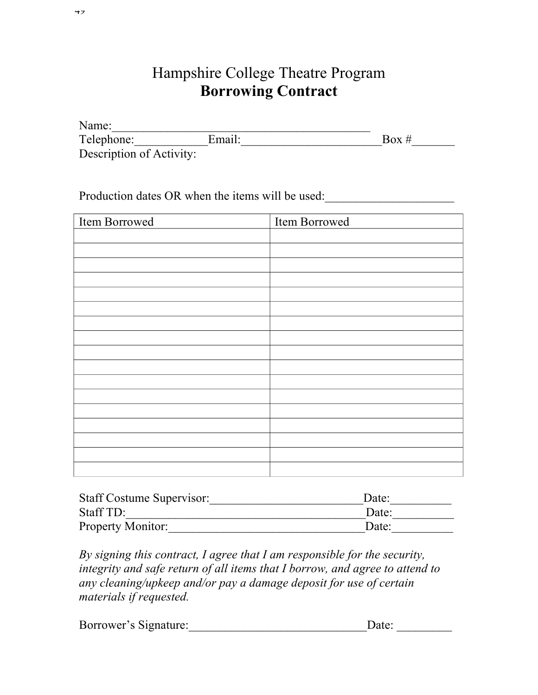# Hampshire College Theatre Program **Borrowing Contract**

| Name:                    |        |       |
|--------------------------|--------|-------|
| Telephone:               | Email: | Box # |
| Description of Activity: |        |       |

Production dates OR when the items will be used:

| Item Borrowed | Item Borrowed |
|---------------|---------------|
|               |               |
|               |               |
|               |               |
|               |               |
|               |               |
|               |               |
|               |               |
|               |               |
|               |               |
|               |               |
|               |               |
|               |               |
|               |               |
|               |               |
|               |               |
|               |               |
|               |               |

| <b>Staff Costume Supervisor:</b> | Date: |
|----------------------------------|-------|
| Staff TD:                        | Date: |
| Property Monitor:                | Date: |

*By signing this contract, I agree that I am responsible for the security, integrity and safe return of all items that I borrow, and agree to attend to any cleaning/upkeep and/or pay a damage deposit for use of certain materials if requested.*

| Borrower's Signature: | Date: |  |
|-----------------------|-------|--|
|                       |       |  |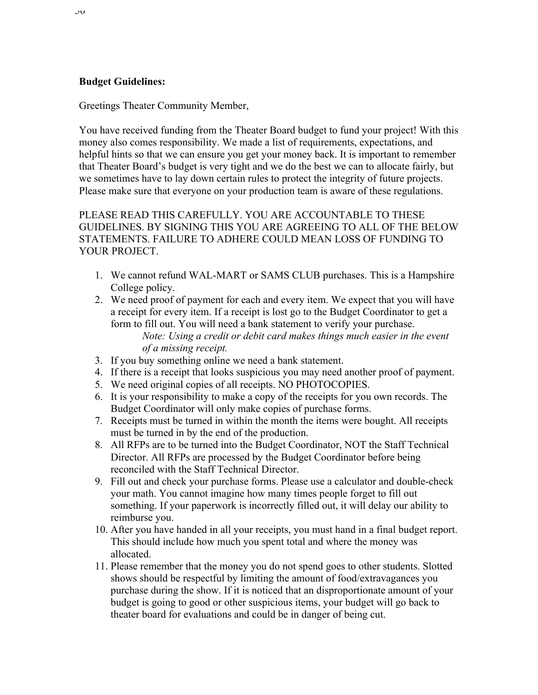### **Budget Guidelines:**

Greetings Theater Community Member,

You have received funding from the Theater Board budget to fund your project! With this money also comes responsibility. We made a list of requirements, expectations, and helpful hints so that we can ensure you get your money back. It is important to remember that Theater Board's budget is very tight and we do the best we can to allocate fairly, but we sometimes have to lay down certain rules to protect the integrity of future projects. Please make sure that everyone on your production team is aware of these regulations.

PLEASE READ THIS CAREFULLY. YOU ARE ACCOUNTABLE TO THESE GUIDELINES. BY SIGNING THIS YOU ARE AGREEING TO ALL OF THE BELOW STATEMENTS. FAILURE TO ADHERE COULD MEAN LOSS OF FUNDING TO YOUR PROJECT.

- 1. We cannot refund WAL-MART or SAMS CLUB purchases. This is a Hampshire College policy.
- 2. We need proof of payment for each and every item. We expect that you will have a receipt for every item. If a receipt is lost go to the Budget Coordinator to get a form to fill out. You will need a bank statement to verify your purchase. *Note: Using a credit or debit card makes things much easier in the event of a missing receipt.*
- 3. If you buy something online we need a bank statement.
- 4. If there is a receipt that looks suspicious you may need another proof of payment.
- 5. We need original copies of all receipts. NO PHOTOCOPIES.
- 6. It is your responsibility to make a copy of the receipts for you own records. The Budget Coordinator will only make copies of purchase forms.
- 7. Receipts must be turned in within the month the items were bought. All receipts must be turned in by the end of the production.
- 8. All RFPs are to be turned into the Budget Coordinator, NOT the Staff Technical Director. All RFPs are processed by the Budget Coordinator before being reconciled with the Staff Technical Director.
- 9. Fill out and check your purchase forms. Please use a calculator and double-check your math. You cannot imagine how many times people forget to fill out something. If your paperwork is incorrectly filled out, it will delay our ability to reimburse you.
- 10. After you have handed in all your receipts, you must hand in a final budget report. This should include how much you spent total and where the money was allocated.
- 11. Please remember that the money you do not spend goes to other students. Slotted shows should be respectful by limiting the amount of food/extravagances you purchase during the show. If it is noticed that an disproportionate amount of your budget is going to good or other suspicious items, your budget will go back to theater board for evaluations and could be in danger of being cut.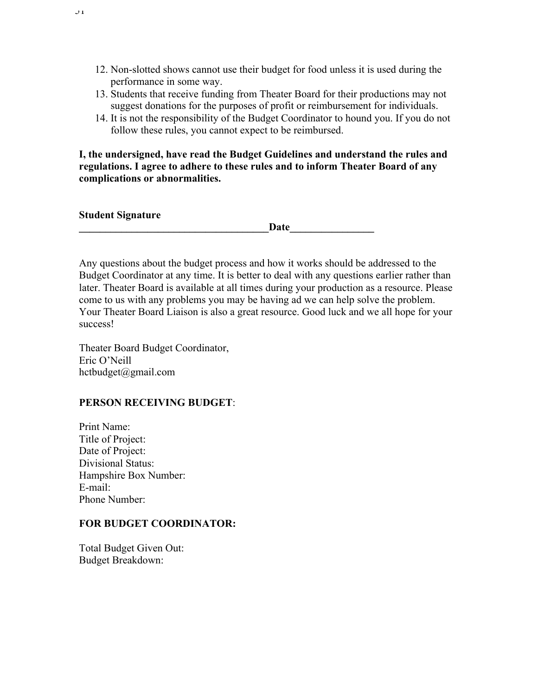- 12. Non-slotted shows cannot use their budget for food unless it is used during the performance in some way.
- 13. Students that receive funding from Theater Board for their productions may not suggest donations for the purposes of profit or reimbursement for individuals.
- 14. It is not the responsibility of the Budget Coordinator to hound you. If you do not follow these rules, you cannot expect to be reimbursed.

**I, the undersigned, have read the Budget Guidelines and understand the rules and regulations. I agree to adhere to these rules and to inform Theater Board of any complications or abnormalities.**

| Student Signature |  |
|-------------------|--|
|-------------------|--|

**Student Signature** 

 $J<sub>1</sub>$ 

Date

Any questions about the budget process and how it works should be addressed to the Budget Coordinator at any time. It is better to deal with any questions earlier rather than later. Theater Board is available at all times during your production as a resource. Please come to us with any problems you may be having ad we can help solve the problem. Your Theater Board Liaison is also a great resource. Good luck and we all hope for your success!

Theater Board Budget Coordinator, Eric O'Neill hctbudget@gmail.com

### **PERSON RECEIVING BUDGET**:

Print Name: Title of Project: Date of Project: Divisional Status: Hampshire Box Number: E-mail: Phone Number:

### **FOR BUDGET COORDINATOR:**

Total Budget Given Out: Budget Breakdown: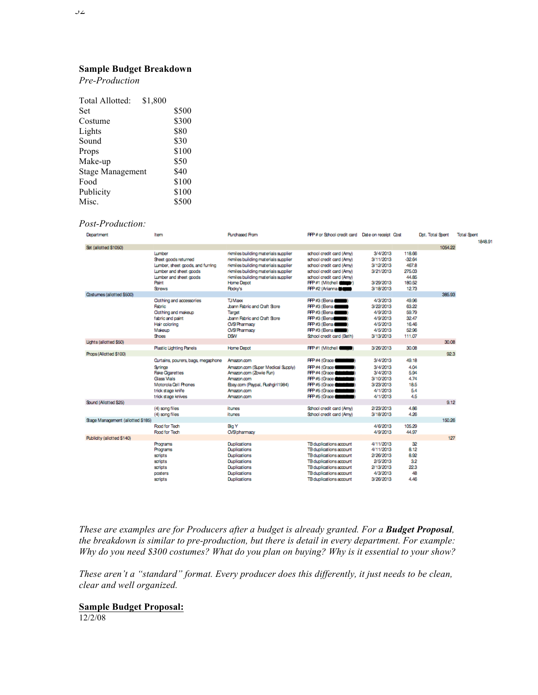#### **Sample Budget Breakdown**

*Pre-Production*

| Total Allotted:         | \$1,800 |       |
|-------------------------|---------|-------|
| <b>Set</b>              |         | \$500 |
| Costume                 |         | \$300 |
| Lights                  |         | \$80  |
| Sound                   |         | \$30  |
| Props                   |         | \$100 |
| Make-up                 |         | \$50  |
| <b>Stage Management</b> |         | \$40  |
| Food                    |         | \$100 |
| Publicity               |         | \$100 |
| Misc.                   |         | \$500 |
|                         |         |       |

#### *Post-Production:*

| Department                        | Item                                                                                                                                                     | <b>Purchased From</b>                                                                                                                                                                                                           | FFP# or School credit card  Date on receipt  Cost                                                                                                                                                            |                                                                                       |                                                                 | Dot, Total Spent | <b>Total Spent</b><br>1848.91 |
|-----------------------------------|----------------------------------------------------------------------------------------------------------------------------------------------------------|---------------------------------------------------------------------------------------------------------------------------------------------------------------------------------------------------------------------------------|--------------------------------------------------------------------------------------------------------------------------------------------------------------------------------------------------------------|---------------------------------------------------------------------------------------|-----------------------------------------------------------------|------------------|-------------------------------|
| Set (allotted \$1050)             |                                                                                                                                                          |                                                                                                                                                                                                                                 |                                                                                                                                                                                                              |                                                                                       |                                                                 | 1054.22          |                               |
|                                   | Lumber<br>Sheet goods returned<br>Lumber, sheet goods, and furring<br>Lumber and sheet goods<br>Lumber and sheet goods<br>Paint<br><b>Strews</b>         | rkmiles building materials supplier<br>rkmiles building materials supplier<br>rkmiles building materials supplier<br>rkmiles building materials supplier<br>rkmiles building materials supplier<br>Home Depot<br><b>Rocky's</b> | school credit card (Amy)<br>school credit card (Amy)<br>school credit card (Amy)<br>school credit card (Amv)<br>school credit card (Amv)<br><b>RFP#1 (Mitchell (COMP)</b><br>$R + 2$ (Arianna $\blacksquare$ | 3/4/2013<br>3/11/2013<br>3/12/2013<br>3/21/2013<br>3/29/2013<br>3/18/2013             | 118.66<br>-32.64<br>467.8<br>275.03<br>44.85<br>180.52<br>12.73 |                  |                               |
| Costumes (allotted \$500)         |                                                                                                                                                          |                                                                                                                                                                                                                                 |                                                                                                                                                                                                              |                                                                                       |                                                                 | 385.93           |                               |
|                                   | <b>Oothing and accessories</b><br>Fabric<br>Oothing and makeup<br>fabric and paint<br>Hair coloring<br>Makeup<br><b>Shoes</b>                            | <b>TJ</b> Maxx<br>Joann Fabric and Craft Store<br>Target<br>Joann Fabric and Craft Store<br><b>O/S' Pharmacy</b><br><b>O/S' Pharmacy</b><br><b>DSW</b>                                                                          | <b>RFP#3 (Bena (COMP)</b><br><b>RFP #3 (Bena Command)</b><br><b>RFP#3 (Bena Comp)</b><br><b>RFP #3 (Bena</b><br><b>RFP#3 (Bena Comp)</b><br><b>RFP #3 (Bena Command)</b><br>School credit card (Beth)        | 4/3/2013<br>3/22/2013<br>4/9/2013<br>4/9/2013<br>4/5/2013<br>4/5/2013<br>3/13/2013    | 49.96<br>63.22<br>59.79<br>32.47<br>16.46<br>52.96<br>111.07    |                  |                               |
| Lights (allotted \$50)            |                                                                                                                                                          |                                                                                                                                                                                                                                 |                                                                                                                                                                                                              |                                                                                       |                                                                 | 30.08            |                               |
|                                   | <b>Plastic Lighting Panels</b>                                                                                                                           | Home Depot                                                                                                                                                                                                                      | <b>RFP#1 (Mitchell</b>                                                                                                                                                                                       | 3/26/2013                                                                             | 30.08                                                           |                  |                               |
| Rops (Allotted \$100)             |                                                                                                                                                          |                                                                                                                                                                                                                                 |                                                                                                                                                                                                              |                                                                                       |                                                                 | 92.3             |                               |
|                                   | Curtains, pourers, bags, megaphone<br>Syringe<br><b>Fake Ogarettes</b><br>Glass Vials<br>Motorola Cell Phones<br>trick stage knife<br>trick stage knives | Amazon.com<br>Amazon.com (Super Medical Supply)<br>Amazon.com (Zowie Fun)<br>Amazon.com<br>Ebay.com (Paypal, Rushgirl1984)<br>Amazon.com<br>Amazon.com                                                                          | <b>FFP#4 (Grace</b><br><b>RFP #4 (Grace Compare)</b><br>FFF #4 (Grace Call<br>FFF #5 (Grace Canal<br>FFF #5 (Grace Company)<br>FFF #5 (Grace Canal<br>FFFP #5 (Grace                                         | 3/4/2013<br>3/4/2013<br>3/4/2013<br>3/10/2013<br>3/23/2013<br>4/1/2013<br>4/1/2013    | 49.18<br>4.04<br>5.94<br>4.74<br>18.5<br>5.4<br>4.5             |                  |                               |
| Sound (Allotted \$25)             |                                                                                                                                                          |                                                                                                                                                                                                                                 |                                                                                                                                                                                                              |                                                                                       |                                                                 | 9.12             |                               |
|                                   | (4) song files<br>(4) song files                                                                                                                         | itunes<br>itunes                                                                                                                                                                                                                | School credit card (Amy)<br>School credit card (Amy)                                                                                                                                                         | 2/23/2013<br>3/18/2013                                                                | 4.86<br>4.26                                                    | 150.26           |                               |
| Stage Management (allotted \$185) | Food for Tech<br>Food for Tech                                                                                                                           | Big Y<br><b>O/S</b> pharmacy                                                                                                                                                                                                    |                                                                                                                                                                                                              | 4/6/2013<br>4/9/2013                                                                  | 105.29<br>44.97                                                 |                  |                               |
| <b>Publicity (allotted \$140)</b> |                                                                                                                                                          |                                                                                                                                                                                                                                 |                                                                                                                                                                                                              |                                                                                       |                                                                 | 127              |                               |
|                                   | Programs<br>Programs<br>scripts<br>scripts<br>scripts<br>posters<br>scripts                                                                              | <b>Duplications</b><br>Duplications<br>Duplications<br>Duplications<br>Duplications<br>Duplications<br>Duplications                                                                                                             | TB duplications account<br>TB duplications account<br>TB duplications account<br>TB duplications account<br>TB duplications account<br>TB duplications account<br>TB duplications account                    | 4/11/2013<br>4/11/2013<br>2/26/2013<br>2/5/2013<br>2/13/2013<br>4/3/2013<br>3/26/2013 | 32<br>8.12<br>8.92<br>3.2<br>22.3<br>48<br>4.46                 |                  |                               |

*These are examples are for Producers after a budget is already granted. For a Budget Proposal, the breakdown is similar to pre-production, but there is detail in every department. For example: Why do you need \$300 costumes? What do you plan on buying? Why is it essential to your show?*

*These aren't a "standard" format. Every producer does this differently, it just needs to be clean, clear and well organized.*

#### **Sample Budget Proposal:**

12/2/08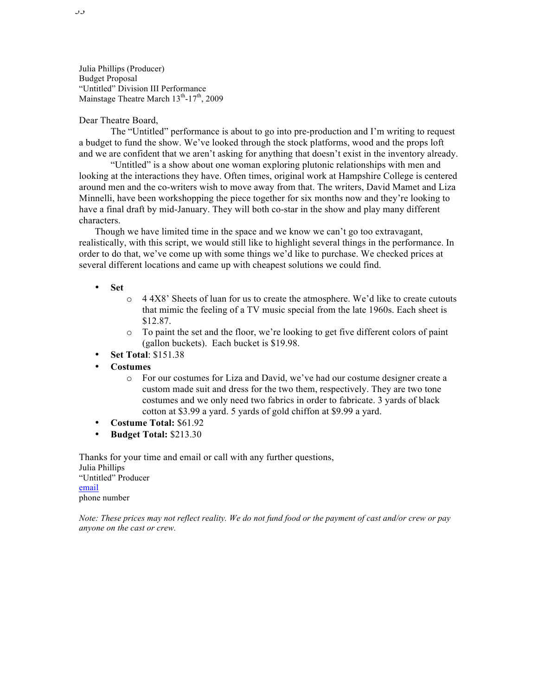Julia Phillips (Producer) Budget Proposal "Untitled" Division III Performance Mainstage Theatre March  $13<sup>th</sup>$ -17<sup>th</sup>, 2009

#### Dear Theatre Board,

The "Untitled" performance is about to go into pre-production and I'm writing to request a budget to fund the show. We've looked through the stock platforms, wood and the props loft and we are confident that we aren't asking for anything that doesn't exist in the inventory already.

"Untitled" is a show about one woman exploring plutonic relationships with men and looking at the interactions they have. Often times, original work at Hampshire College is centered around men and the co-writers wish to move away from that. The writers, David Mamet and Liza Minnelli, have been workshopping the piece together for six months now and they're looking to have a final draft by mid-January. They will both co-star in the show and play many different characters.

Though we have limited time in the space and we know we can't go too extravagant, realistically, with this script, we would still like to highlight several things in the performance. In order to do that, we've come up with some things we'd like to purchase. We checked prices at several different locations and came up with cheapest solutions we could find.

- **Set**
	- $\circ$  4 4X8' Sheets of luan for us to create the atmosphere. We'd like to create cutouts that mimic the feeling of a TV music special from the late 1960s. Each sheet is \$12.87.
	- o To paint the set and the floor, we're looking to get five different colors of paint (gallon buckets). Each bucket is \$19.98.
- **Set Total**: \$151.38
- **Costumes**
	- o For our costumes for Liza and David, we've had our costume designer create a custom made suit and dress for the two them, respectively. They are two tone costumes and we only need two fabrics in order to fabricate. 3 yards of black cotton at \$3.99 a yard. 5 yards of gold chiffon at \$9.99 a yard.
- **Costume Total:** \$61.92
- **Budget Total:** \$213.30

Thanks for your time and email or call with any further questions, Julia Phillips "Untitled" Producer email phone number

*Note: These prices may not reflect reality. We do not fund food or the payment of cast and/or crew or pay anyone on the cast or crew.*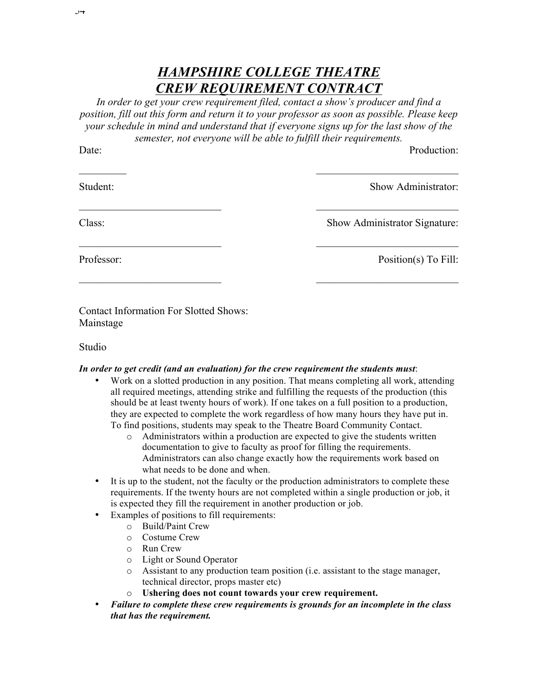## *HAMPSHIRE COLLEGE THEATRE CREW REQUIREMENT CONTRACT*

*In order to get your crew requirement filed, contact a show's producer and find a position, fill out this form and return it to your professor as soon as possible. Please keep your schedule in mind and understand that if everyone signs up for the last show of the semester, not everyone will be able to fulfill their requirements.* 

Date:

Production:

Student:

 $\frac{1}{2}$ 

Show Administrator:

Class:

Show Administrator Signature:

 $\mathcal{L}_\text{max}$  , where  $\mathcal{L}_\text{max}$  , we have the set of  $\mathcal{L}_\text{max}$ 

 $\mathcal{L}_\text{max}$  , where  $\mathcal{L}_\text{max}$  , we have the set of  $\mathcal{L}_\text{max}$ 

 $\mathcal{L}_\text{max}$ 

 $\mathcal{L}_\text{max}$  , where  $\mathcal{L}_\text{max}$  , we have the set of  $\mathcal{L}_\text{max}$ 

Professor:

Position(s) To Fill:

Contact Information For Slotted Shows: Mainstage

 $\mathcal{L}_\text{max}$  , where  $\mathcal{L}_\text{max}$  , we have the set of  $\mathcal{L}_\text{max}$ 

 $\mathcal{L}_\text{max}$ 

 $\mathcal{L}_\text{max}$  , where  $\mathcal{L}_\text{max}$  , we have the set of  $\mathcal{L}_\text{max}$ 

Studio

### *In order to get credit (and an evaluation) for the crew requirement the students must*:

- Work on a slotted production in any position. That means completing all work, attending all required meetings, attending strike and fulfilling the requests of the production (this should be at least twenty hours of work). If one takes on a full position to a production, they are expected to complete the work regardless of how many hours they have put in. To find positions, students may speak to the Theatre Board Community Contact.
	- o Administrators within a production are expected to give the students written documentation to give to faculty as proof for filling the requirements. Administrators can also change exactly how the requirements work based on what needs to be done and when.
- It is up to the student, not the faculty or the production administrators to complete these requirements. If the twenty hours are not completed within a single production or job, it is expected they fill the requirement in another production or job.
- Examples of positions to fill requirements:
	- o Build/Paint Crew
	- o Costume Crew
	- o Run Crew
	- o Light or Sound Operator
	- o Assistant to any production team position (i.e. assistant to the stage manager, technical director, props master etc)
	- o **Ushering does not count towards your crew requirement.**
- *Failure to complete these crew requirements is grounds for an incomplete in the class that has the requirement.*

 $, 9 +$